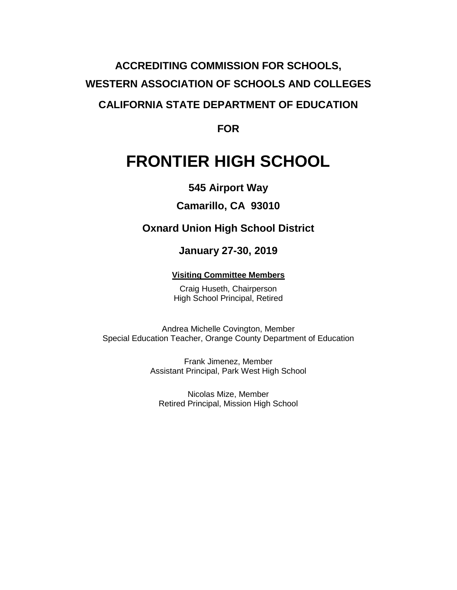# **ACCREDITING COMMISSION FOR SCHOOLS, WESTERN ASSOCIATION OF SCHOOLS AND COLLEGES CALIFORNIA STATE DEPARTMENT OF EDUCATION**

**FOR**

# **FRONTIER HIGH SCHOOL**

### **545 Airport Way**

### **Camarillo, CA 93010**

### **Oxnard Union High School District**

### **January 27-30, 2019**

### **Visiting Committee Members**

Craig Huseth, Chairperson High School Principal, Retired

Andrea Michelle Covington, Member Special Education Teacher, Orange County Department of Education

> Frank Jimenez, Member Assistant Principal, Park West High School

Nicolas Mize, Member Retired Principal, Mission High School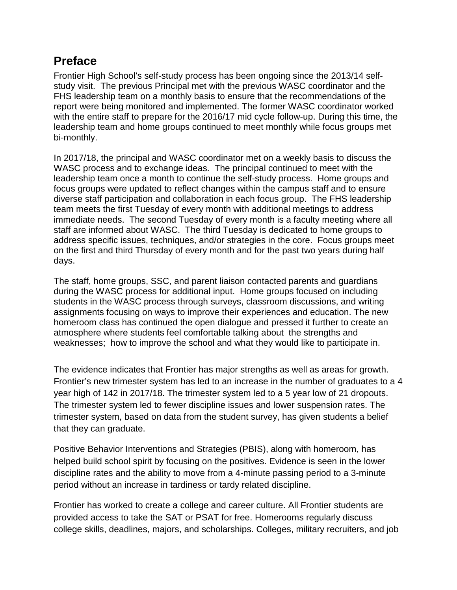# **Preface**

Frontier High School's self-study process has been ongoing since the 2013/14 selfstudy visit. The previous Principal met with the previous WASC coordinator and the FHS leadership team on a monthly basis to ensure that the recommendations of the report were being monitored and implemented. The former WASC coordinator worked with the entire staff to prepare for the 2016/17 mid cycle follow-up. During this time, the leadership team and home groups continued to meet monthly while focus groups met bi-monthly.

In 2017/18, the principal and WASC coordinator met on a weekly basis to discuss the WASC process and to exchange ideas. The principal continued to meet with the leadership team once a month to continue the self-study process. Home groups and focus groups were updated to reflect changes within the campus staff and to ensure diverse staff participation and collaboration in each focus group. The FHS leadership team meets the first Tuesday of every month with additional meetings to address immediate needs. The second Tuesday of every month is a faculty meeting where all staff are informed about WASC. The third Tuesday is dedicated to home groups to address specific issues, techniques, and/or strategies in the core. Focus groups meet on the first and third Thursday of every month and for the past two years during half days.

The staff, home groups, SSC, and parent liaison contacted parents and guardians during the WASC process for additional input. Home groups focused on including students in the WASC process through surveys, classroom discussions, and writing assignments focusing on ways to improve their experiences and education. The new homeroom class has continued the open dialogue and pressed it further to create an atmosphere where students feel comfortable talking about the strengths and weaknesses; how to improve the school and what they would like to participate in.

The evidence indicates that Frontier has major strengths as well as areas for growth. Frontier's new trimester system has led to an increase in the number of graduates to a 4 year high of 142 in 2017/18. The trimester system led to a 5 year low of 21 dropouts. The trimester system led to fewer discipline issues and lower suspension rates. The trimester system, based on data from the student survey, has given students a belief that they can graduate.

Positive Behavior Interventions and Strategies (PBIS), along with homeroom, has helped build school spirit by focusing on the positives. Evidence is seen in the lower discipline rates and the ability to move from a 4-minute passing period to a 3-minute period without an increase in tardiness or tardy related discipline.

Frontier has worked to create a college and career culture. All Frontier students are provided access to take the SAT or PSAT for free. Homerooms regularly discuss college skills, deadlines, majors, and scholarships. Colleges, military recruiters, and job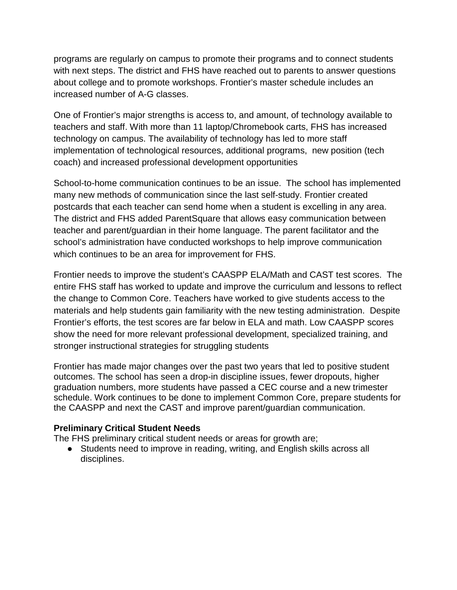programs are regularly on campus to promote their programs and to connect students with next steps. The district and FHS have reached out to parents to answer questions about college and to promote workshops. Frontier's master schedule includes an increased number of A-G classes.

One of Frontier's major strengths is access to, and amount, of technology available to teachers and staff. With more than 11 laptop/Chromebook carts, FHS has increased technology on campus. The availability of technology has led to more staff implementation of technological resources, additional programs, new position (tech coach) and increased professional development opportunities

School-to-home communication continues to be an issue. The school has implemented many new methods of communication since the last self-study. Frontier created postcards that each teacher can send home when a student is excelling in any area. The district and FHS added ParentSquare that allows easy communication between teacher and parent/guardian in their home language. The parent facilitator and the school's administration have conducted workshops to help improve communication which continues to be an area for improvement for FHS.

Frontier needs to improve the student's CAASPP ELA/Math and CAST test scores. The entire FHS staff has worked to update and improve the curriculum and lessons to reflect the change to Common Core. Teachers have worked to give students access to the materials and help students gain familiarity with the new testing administration. Despite Frontier's efforts, the test scores are far below in ELA and math. Low CAASPP scores show the need for more relevant professional development, specialized training, and stronger instructional strategies for struggling students

Frontier has made major changes over the past two years that led to positive student outcomes. The school has seen a drop-in discipline issues, fewer dropouts, higher graduation numbers, more students have passed a CEC course and a new trimester schedule. Work continues to be done to implement Common Core, prepare students for the CAASPP and next the CAST and improve parent/guardian communication.

#### **Preliminary Critical Student Needs**

The FHS preliminary critical student needs or areas for growth are;

● Students need to improve in reading, writing, and English skills across all disciplines.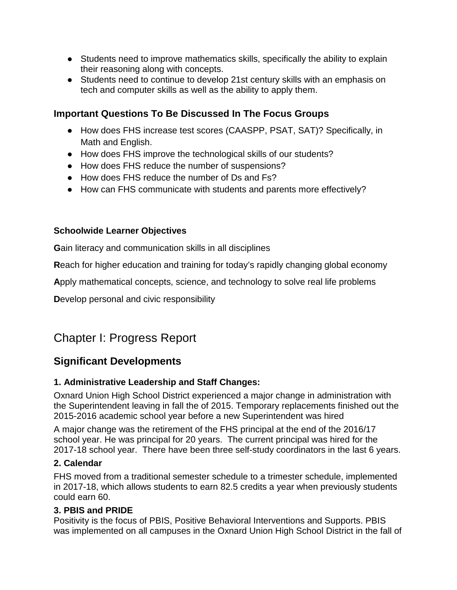- Students need to improve mathematics skills, specifically the ability to explain their reasoning along with concepts.
- Students need to continue to develop 21st century skills with an emphasis on tech and computer skills as well as the ability to apply them.

### **Important Questions To Be Discussed In The Focus Groups**

- How does FHS increase test scores (CAASPP, PSAT, SAT)? Specifically, in Math and English.
- How does FHS improve the technological skills of our students?
- How does FHS reduce the number of suspensions?
- How does FHS reduce the number of Ds and Fs?
- How can FHS communicate with students and parents more effectively?

### **Schoolwide Learner Objectives**

**G**ain literacy and communication skills in all disciplines

**R**each for higher education and training for today's rapidly changing global economy

**A**pply mathematical concepts, science, and technology to solve real life problems

**D**evelop personal and civic responsibility

# Chapter I: Progress Report

### **Significant Developments**

### **1. Administrative Leadership and Staff Changes:**

Oxnard Union High School District experienced a major change in administration with the Superintendent leaving in fall the of 2015. Temporary replacements finished out the 2015-2016 academic school year before a new Superintendent was hired

A major change was the retirement of the FHS principal at the end of the 2016/17 school year. He was principal for 20 years. The current principal was hired for the 2017-18 school year. There have been three self-study coordinators in the last 6 years.

### **2. Calendar**

FHS moved from a traditional semester schedule to a trimester schedule, implemented in 2017-18, which allows students to earn 82.5 credits a year when previously students could earn 60.

### **3. PBIS and PRIDE**

Positivity is the focus of PBIS, Positive Behavioral Interventions and Supports. PBIS was implemented on all campuses in the Oxnard Union High School District in the fall of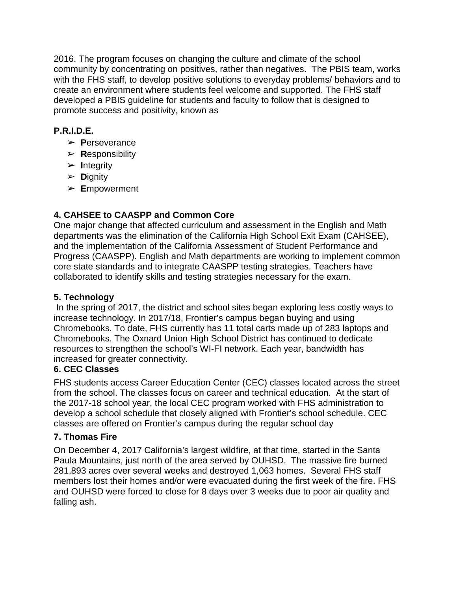2016. The program focuses on changing the culture and climate of the school community by concentrating on positives, rather than negatives. The PBIS team, works with the FHS staff, to develop positive solutions to everyday problems/ behaviors and to create an environment where students feel welcome and supported. The FHS staff developed a PBIS guideline for students and faculty to follow that is designed to promote success and positivity, known as

### **P.R.I.D.E.**

- ➢ **P**erseverance
- ➢ **R**esponsibility
- ➢ **I**ntegrity
- ➢ **D**ignity
- ➢ **E**mpowerment

### **4. CAHSEE to CAASPP and Common Core**

One major change that affected curriculum and assessment in the English and Math departments was the elimination of the California High School Exit Exam (CAHSEE), and the implementation of the California Assessment of Student Performance and Progress (CAASPP). English and Math departments are working to implement common core state standards and to integrate CAASPP testing strategies. Teachers have collaborated to identify skills and testing strategies necessary for the exam.

### **5. Technology**

In the spring of 2017, the district and school sites began exploring less costly ways to increase technology. In 2017/18, Frontier's campus began buying and using Chromebooks. To date, FHS currently has 11 total carts made up of 283 laptops and Chromebooks. The Oxnard Union High School District has continued to dedicate resources to strengthen the school's WI-FI network. Each year, bandwidth has increased for greater connectivity.

### **6. CEC Classes**

FHS students access Career Education Center (CEC) classes located across the street from the school. The classes focus on career and technical education. At the start of the 2017-18 school year, the local CEC program worked with FHS administration to develop a school schedule that closely aligned with Frontier's school schedule. CEC classes are offered on Frontier's campus during the regular school day

### **7. Thomas Fire**

On December 4, 2017 California's largest wildfire, at that time, started in the Santa Paula Mountains, just north of the area served by OUHSD. The massive fire burned 281,893 acres over several weeks and destroyed 1,063 homes. Several FHS staff members lost their homes and/or were evacuated during the first week of the fire. FHS and OUHSD were forced to close for 8 days over 3 weeks due to poor air quality and falling ash.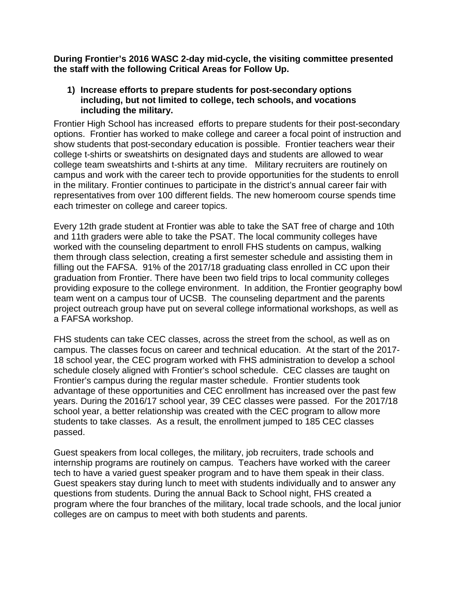**During Frontier's 2016 WASC 2-day mid-cycle, the visiting committee presented the staff with the following Critical Areas for Follow Up.**

#### **1) Increase efforts to prepare students for post-secondary options including, but not limited to college, tech schools, and vocations including the military.**

Frontier High School has increased efforts to prepare students for their post-secondary options. Frontier has worked to make college and career a focal point of instruction and show students that post-secondary education is possible. Frontier teachers wear their college t-shirts or sweatshirts on designated days and students are allowed to wear college team sweatshirts and t-shirts at any time. Military recruiters are routinely on campus and work with the career tech to provide opportunities for the students to enroll in the military. Frontier continues to participate in the district's annual career fair with representatives from over 100 different fields. The new homeroom course spends time each trimester on college and career topics.

Every 12th grade student at Frontier was able to take the SAT free of charge and 10th and 11th graders were able to take the PSAT. The local community colleges have worked with the counseling department to enroll FHS students on campus, walking them through class selection, creating a first semester schedule and assisting them in filling out the FAFSA. 91% of the 2017/18 graduating class enrolled in CC upon their graduation from Frontier. There have been two field trips to local community colleges providing exposure to the college environment. In addition, the Frontier geography bowl team went on a campus tour of UCSB. The counseling department and the parents project outreach group have put on several college informational workshops, as well as a FAFSA workshop.

FHS students can take CEC classes, across the street from the school, as well as on campus. The classes focus on career and technical education. At the start of the 2017- 18 school year, the CEC program worked with FHS administration to develop a school schedule closely aligned with Frontier's school schedule. CEC classes are taught on Frontier's campus during the regular master schedule. Frontier students took advantage of these opportunities and CEC enrollment has increased over the past few years. During the 2016/17 school year, 39 CEC classes were passed. For the 2017/18 school year, a better relationship was created with the CEC program to allow more students to take classes. As a result, the enrollment jumped to 185 CEC classes passed.

Guest speakers from local colleges, the military, job recruiters, trade schools and internship programs are routinely on campus. Teachers have worked with the career tech to have a varied guest speaker program and to have them speak in their class. Guest speakers stay during lunch to meet with students individually and to answer any questions from students. During the annual Back to School night, FHS created a program where the four branches of the military, local trade schools, and the local junior colleges are on campus to meet with both students and parents.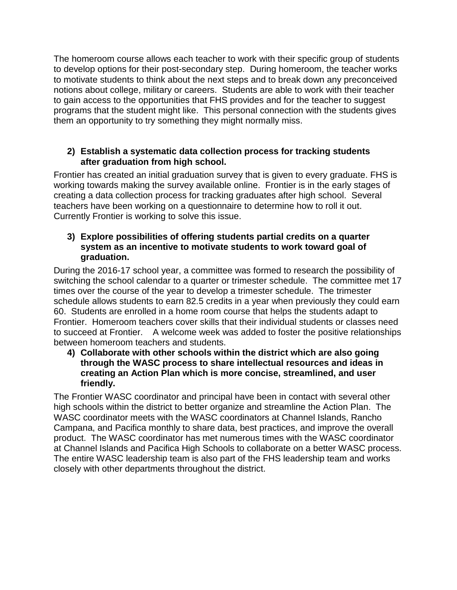The homeroom course allows each teacher to work with their specific group of students to develop options for their post-secondary step. During homeroom, the teacher works to motivate students to think about the next steps and to break down any preconceived notions about college, military or careers. Students are able to work with their teacher to gain access to the opportunities that FHS provides and for the teacher to suggest programs that the student might like. This personal connection with the students gives them an opportunity to try something they might normally miss.

### **2) Establish a systematic data collection process for tracking students after graduation from high school.**

Frontier has created an initial graduation survey that is given to every graduate. FHS is working towards making the survey available online. Frontier is in the early stages of creating a data collection process for tracking graduates after high school. Several teachers have been working on a questionnaire to determine how to roll it out. Currently Frontier is working to solve this issue.

### **3) Explore possibilities of offering students partial credits on a quarter system as an incentive to motivate students to work toward goal of graduation.**

During the 2016-17 school year, a committee was formed to research the possibility of switching the school calendar to a quarter or trimester schedule. The committee met 17 times over the course of the year to develop a trimester schedule. The trimester schedule allows students to earn 82.5 credits in a year when previously they could earn 60. Students are enrolled in a home room course that helps the students adapt to Frontier. Homeroom teachers cover skills that their individual students or classes need to succeed at Frontier. A welcome week was added to foster the positive relationships between homeroom teachers and students.

**4) Collaborate with other schools within the district which are also going through the WASC process to share intellectual resources and ideas in creating an Action Plan which is more concise, streamlined, and user friendly.**

The Frontier WASC coordinator and principal have been in contact with several other high schools within the district to better organize and streamline the Action Plan. The WASC coordinator meets with the WASC coordinators at Channel Islands, Rancho Campana, and Pacifica monthly to share data, best practices, and improve the overall product. The WASC coordinator has met numerous times with the WASC coordinator at Channel Islands and Pacifica High Schools to collaborate on a better WASC process. The entire WASC leadership team is also part of the FHS leadership team and works closely with other departments throughout the district.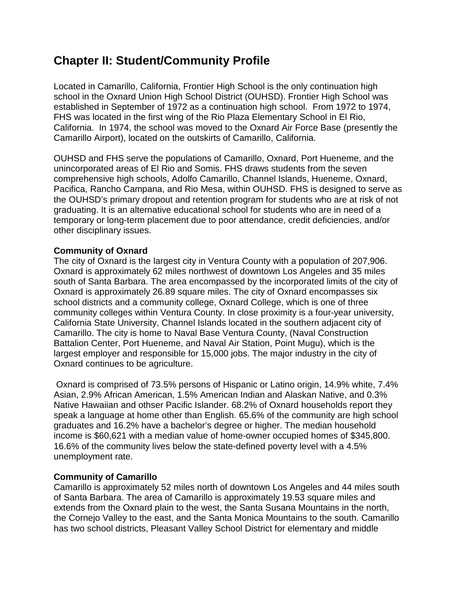# **Chapter II: Student/Community Profile**

Located in Camarillo, California, Frontier High School is the only continuation high school in the Oxnard Union High School District (OUHSD). Frontier High School was established in September of 1972 as a continuation high school. From 1972 to 1974, FHS was located in the first wing of the Rio Plaza Elementary School in El Rio, California. In 1974, the school was moved to the Oxnard Air Force Base (presently the Camarillo Airport), located on the outskirts of Camarillo, California.

OUHSD and FHS serve the populations of Camarillo, Oxnard, Port Hueneme, and the unincorporated areas of El Rio and Somis. FHS draws students from the seven comprehensive high schools, Adolfo Camarillo, Channel Islands, Hueneme, Oxnard, Pacifica, Rancho Campana, and Rio Mesa, within OUHSD. FHS is designed to serve as the OUHSD's primary dropout and retention program for students who are at risk of not graduating. It is an alternative educational school for students who are in need of a temporary or long-term placement due to poor attendance, credit deficiencies, and/or other disciplinary issues.

### **Community of Oxnard**

The city of Oxnard is the largest city in Ventura County with a population of 207,906. Oxnard is approximately 62 miles northwest of downtown Los Angeles and 35 miles south of Santa Barbara. The area encompassed by the incorporated limits of the city of Oxnard is approximately 26.89 square miles. The city of Oxnard encompasses six school districts and a community college, Oxnard College, which is one of three community colleges within Ventura County. In close proximity is a four-year university, California State University, Channel Islands located in the southern adjacent city of Camarillo. The city is home to Naval Base Ventura County, (Naval Construction Battalion Center, Port Hueneme, and Naval Air Station, Point Mugu), which is the largest employer and responsible for 15,000 jobs. The major industry in the city of Oxnard continues to be agriculture.

Oxnard is comprised of 73.5% persons of Hispanic or Latino origin, 14.9% white, 7.4% Asian, 2.9% African American, 1.5% American Indian and Alaskan Native, and 0.3% Native Hawaiian and othser Pacific Islander. 68.2% of Oxnard households report they speak a language at home other than English. 65.6% of the community are high school graduates and 16.2% have a bachelor's degree or higher. The median household income is \$60,621 with a median value of home-owner occupied homes of \$345,800. 16.6% of the community lives below the state-defined poverty level with a 4.5% unemployment rate.

### **Community of Camarillo**

Camarillo is approximately 52 miles north of downtown Los Angeles and 44 miles south of Santa Barbara. The area of Camarillo is approximately 19.53 square miles and extends from the Oxnard plain to the west, the Santa Susana Mountains in the north, the Cornejo Valley to the east, and the Santa Monica Mountains to the south. Camarillo has two school districts, Pleasant Valley School District for elementary and middle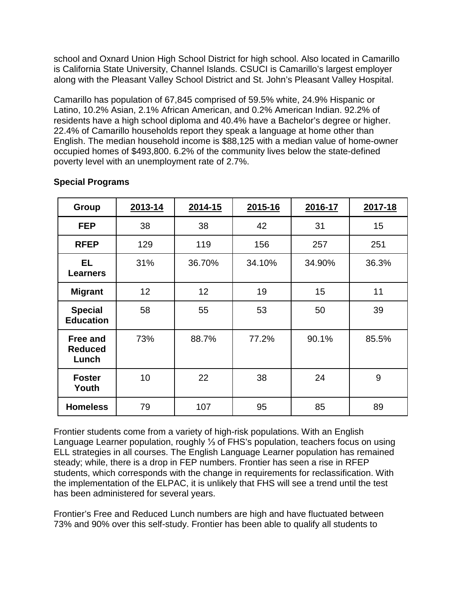school and Oxnard Union High School District for high school. Also located in Camarillo is California State University, Channel Islands. CSUCI is Camarillo's largest employer along with the Pleasant Valley School District and St. John's Pleasant Valley Hospital.

Camarillo has population of 67,845 comprised of 59.5% white, 24.9% Hispanic or Latino, 10.2% Asian, 2.1% African American, and 0.2% American Indian. 92.2% of residents have a high school diploma and 40.4% have a Bachelor's degree or higher. 22.4% of Camarillo households report they speak a language at home other than English. The median household income is \$88,125 with a median value of home-owner occupied homes of \$493,800. 6.2% of the community lives below the state-defined poverty level with an unemployment rate of 2.7%.

| Group                                      | 2013-14 | 2014-15 | 2015-16 | 2016-17 | 2017-18 |
|--------------------------------------------|---------|---------|---------|---------|---------|
| <b>FEP</b>                                 | 38      | 38      | 42      | 31      | 15      |
| <b>RFEP</b>                                | 129     | 119     | 156     | 257     | 251     |
| EL.<br><b>Learners</b>                     | 31%     | 36.70%  | 34.10%  | 34.90%  | 36.3%   |
| <b>Migrant</b>                             | 12      | 12      | 19      | 15      | 11      |
| <b>Special</b><br><b>Education</b>         | 58      | 55      | 53      | 50      | 39      |
| <b>Free and</b><br><b>Reduced</b><br>Lunch | 73%     | 88.7%   | 77.2%   | 90.1%   | 85.5%   |
| <b>Foster</b><br>Youth                     | 10      | 22      | 38      | 24      | 9       |
| <b>Homeless</b>                            | 79      | 107     | 95      | 85      | 89      |

### **Special Programs**

Frontier students come from a variety of high-risk populations. With an English Language Learner population, roughly ⅓ of FHS's population, teachers focus on using ELL strategies in all courses. The English Language Learner population has remained steady; while, there is a drop in FEP numbers. Frontier has seen a rise in RFEP students, which corresponds with the change in requirements for reclassification. With the implementation of the ELPAC, it is unlikely that FHS will see a trend until the test has been administered for several years.

Frontier's Free and Reduced Lunch numbers are high and have fluctuated between 73% and 90% over this self-study. Frontier has been able to qualify all students to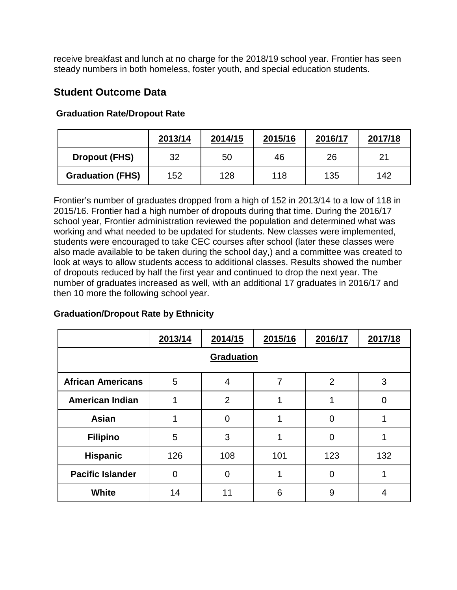receive breakfast and lunch at no charge for the 2018/19 school year. Frontier has seen steady numbers in both homeless, foster youth, and special education students.

### **Student Outcome Data**

|                         | 2013/14 | 2014/15 | 2015/16 | 2016/17 | 2017/18 |
|-------------------------|---------|---------|---------|---------|---------|
| <b>Dropout (FHS)</b>    | 32      | 50      | 46      | 26      | 21      |
| <b>Graduation (FHS)</b> | 152     | 128     | 118     | 135     | 142     |

### **Graduation Rate/Dropout Rate**

Frontier's number of graduates dropped from a high of 152 in 2013/14 to a low of 118 in 2015/16. Frontier had a high number of dropouts during that time. During the 2016/17 school year, Frontier administration reviewed the population and determined what was working and what needed to be updated for students. New classes were implemented, students were encouraged to take CEC courses after school (later these classes were also made available to be taken during the school day,) and a committee was created to look at ways to allow students access to additional classes. Results showed the number of dropouts reduced by half the first year and continued to drop the next year. The number of graduates increased as well, with an additional 17 graduates in 2016/17 and then 10 more the following school year.

#### **Graduation/Dropout Rate by Ethnicity**

|                                                                | 2013/14  | 2014/15        | 2015/16 | 2016/17        | 2017/18 |  |  |
|----------------------------------------------------------------|----------|----------------|---------|----------------|---------|--|--|
| Graduation                                                     |          |                |         |                |         |  |  |
| <b>African Americans</b><br>5<br>$\overline{2}$<br>7<br>3<br>4 |          |                |         |                |         |  |  |
| <b>American Indian</b>                                         |          | $\overline{2}$ |         |                | 0       |  |  |
| <b>Asian</b>                                                   |          | 0              |         | O              |         |  |  |
| <b>Filipino</b>                                                | 5        | 3              |         | $\overline{0}$ |         |  |  |
| <b>Hispanic</b>                                                | 126      | 108            | 101     | 123            | 132     |  |  |
| <b>Pacific Islander</b>                                        | $\Omega$ | Ω              |         | 0              |         |  |  |
| <b>White</b>                                                   | 14       | 11             | 6       | 9              | 4       |  |  |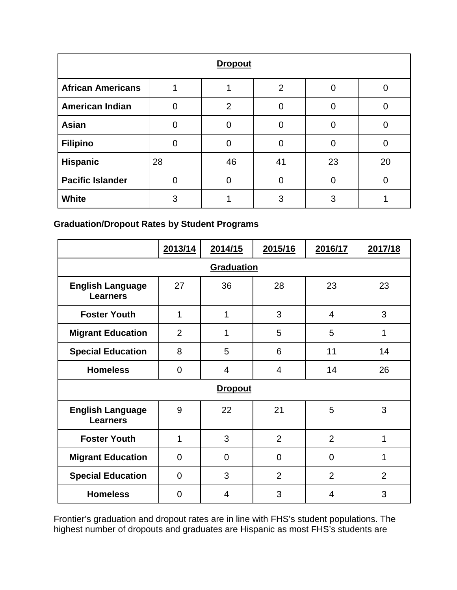| <b>Dropout</b>           |          |                |                |    |    |  |  |
|--------------------------|----------|----------------|----------------|----|----|--|--|
| <b>African Americans</b> |          |                | $\overline{2}$ |    |    |  |  |
| <b>American Indian</b>   | 0        | $\overline{2}$ |                |    |    |  |  |
| <b>Asian</b>             | 0        |                |                |    |    |  |  |
| <b>Filipino</b>          | $\Omega$ | 0              |                | 0  |    |  |  |
| <b>Hispanic</b>          | 28       | 46             | 41             | 23 | 20 |  |  |
| <b>Pacific Islander</b>  | O        | ი              |                | 0  |    |  |  |
| White                    | 3        |                | 3              | 3  |    |  |  |

**Graduation/Dropout Rates by Student Programs**

|                                            | 2013/14        | 2014/15        | 2015/16        | 2016/17        | 2017/18        |  |  |  |
|--------------------------------------------|----------------|----------------|----------------|----------------|----------------|--|--|--|
| Graduation                                 |                |                |                |                |                |  |  |  |
| <b>English Language</b><br><b>Learners</b> | 27             | 36             | 28             | 23             | 23             |  |  |  |
| <b>Foster Youth</b>                        | 1              | 1              | 3              | $\overline{4}$ | 3              |  |  |  |
| <b>Migrant Education</b>                   | $\overline{2}$ | 1              | 5              | 5              | 1              |  |  |  |
| <b>Special Education</b>                   | 8              | 5              | 6              | 11             | 14             |  |  |  |
| <b>Homeless</b>                            | 0              | 4              | $\overline{4}$ | 14             | 26             |  |  |  |
|                                            |                | <b>Dropout</b> |                |                |                |  |  |  |
| <b>English Language</b><br><b>Learners</b> | 9              | 22             | 21             | 5              | 3              |  |  |  |
| <b>Foster Youth</b>                        | 1              | 3              | $\overline{2}$ | 2              | 1              |  |  |  |
| <b>Migrant Education</b>                   | $\overline{0}$ | $\overline{0}$ | $\mathbf 0$    | $\Omega$       | 1              |  |  |  |
| <b>Special Education</b>                   | $\Omega$       | 3              | $\overline{2}$ | $\overline{2}$ | $\overline{2}$ |  |  |  |
| <b>Homeless</b>                            | $\overline{0}$ | 4              | 3              | 4              | 3              |  |  |  |

Frontier's graduation and dropout rates are in line with FHS's student populations. The highest number of dropouts and graduates are Hispanic as most FHS's students are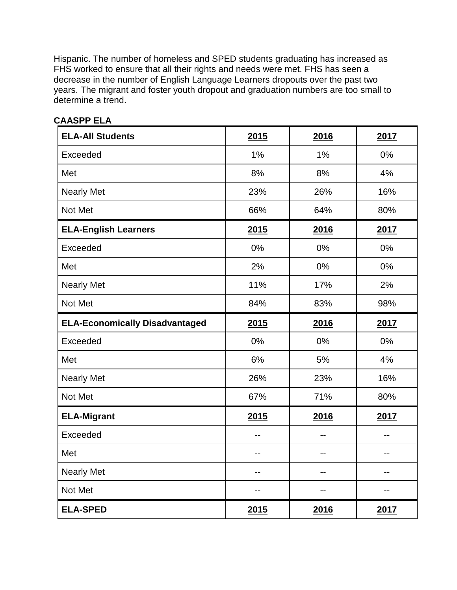Hispanic. The number of homeless and SPED students graduating has increased as FHS worked to ensure that all their rights and needs were met. FHS has seen a decrease in the number of English Language Learners dropouts over the past two years. The migrant and foster youth dropout and graduation numbers are too small to determine a trend.

| <b>ELA-All Students</b>               | 2015 | 2016 | 2017 |
|---------------------------------------|------|------|------|
| Exceeded                              | 1%   | 1%   | 0%   |
| Met                                   | 8%   | 8%   | 4%   |
| <b>Nearly Met</b>                     | 23%  | 26%  | 16%  |
| Not Met                               | 66%  | 64%  | 80%  |
| <b>ELA-English Learners</b>           | 2015 | 2016 | 2017 |
| Exceeded                              | 0%   | 0%   | 0%   |
| Met                                   | 2%   | 0%   | 0%   |
| <b>Nearly Met</b>                     | 11%  | 17%  | 2%   |
| Not Met                               | 84%  | 83%  | 98%  |
| <b>ELA-Economically Disadvantaged</b> | 2015 | 2016 | 2017 |
| Exceeded                              | 0%   | 0%   | 0%   |
| Met                                   | 6%   | 5%   | 4%   |
| <b>Nearly Met</b>                     | 26%  | 23%  | 16%  |
| Not Met                               | 67%  | 71%  | 80%  |
| <b>ELA-Migrant</b>                    | 2015 | 2016 | 2017 |
| Exceeded                              | --   | --   | --   |
| Met                                   | --   | --   | --   |
| <b>Nearly Met</b>                     | --   | --   | --   |
| Not Met                               | --   | --   | --   |
| <b>ELA-SPED</b>                       | 2015 | 2016 | 2017 |

### **CAASPP ELA**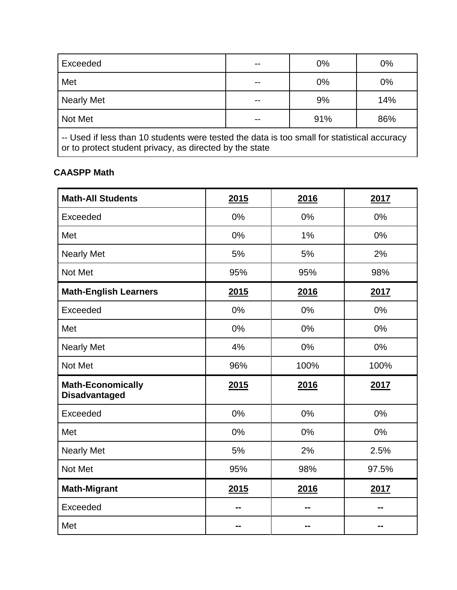| Exceeded                                                                                                                                               |  | 0%  | 0%  |  |  |
|--------------------------------------------------------------------------------------------------------------------------------------------------------|--|-----|-----|--|--|
| Met                                                                                                                                                    |  | 0%  | 0%  |  |  |
| <b>Nearly Met</b>                                                                                                                                      |  | 9%  | 14% |  |  |
| Not Met                                                                                                                                                |  | 91% | 86% |  |  |
| -- Used if less than 10 students were tested the data is too small for statistical accuracy<br>or to protect student privacy, as directed by the state |  |     |     |  |  |

### **CAASPP Math**

| <b>Math-All Students</b>                         | 2015 | 2016 | 2017  |
|--------------------------------------------------|------|------|-------|
| Exceeded                                         | 0%   | 0%   | 0%    |
| Met                                              | 0%   | 1%   | 0%    |
| <b>Nearly Met</b>                                | 5%   | 5%   | 2%    |
| Not Met                                          | 95%  | 95%  | 98%   |
| <b>Math-English Learners</b>                     | 2015 | 2016 | 2017  |
| Exceeded                                         | 0%   | 0%   | 0%    |
| Met                                              | 0%   | 0%   | 0%    |
| <b>Nearly Met</b>                                | 4%   | 0%   | 0%    |
| Not Met                                          | 96%  | 100% | 100%  |
| <b>Math-Economically</b><br><b>Disadvantaged</b> | 2015 | 2016 | 2017  |
| Exceeded                                         | 0%   | 0%   | 0%    |
| Met                                              | 0%   | 0%   | 0%    |
| <b>Nearly Met</b>                                | 5%   | 2%   | 2.5%  |
| Not Met                                          | 95%  | 98%  | 97.5% |
| <b>Math-Migrant</b>                              | 2015 | 2016 | 2017  |
| Exceeded                                         |      |      |       |
| Met                                              |      |      | - -   |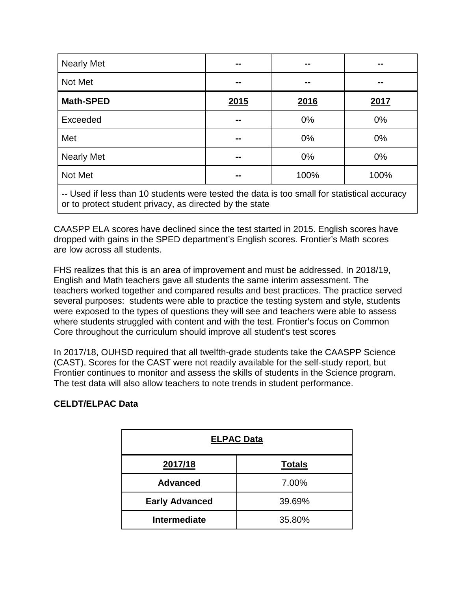| <b>Nearly Met</b> | --            | --    | --    |
|-------------------|---------------|-------|-------|
| Not Met           | --            | --    | --    |
| <b>Math-SPED</b>  | 2015          | 2016  | 2017  |
| Exceeded          | $\sim$ $\sim$ | 0%    | 0%    |
| Met               | $\sim$ $\sim$ | $0\%$ | $0\%$ |
| <b>Nearly Met</b> | --            | 0%    | 0%    |
| Not Met           | --            | 100%  | 100%  |

-- Used if less than 10 students were tested the data is too small for statistical accuracy or to protect student privacy, as directed by the state

CAASPP ELA scores have declined since the test started in 2015. English scores have dropped with gains in the SPED department's English scores. Frontier's Math scores are low across all students.

FHS realizes that this is an area of improvement and must be addressed. In 2018/19, English and Math teachers gave all students the same interim assessment. The teachers worked together and compared results and best practices. The practice served several purposes: students were able to practice the testing system and style, students were exposed to the types of questions they will see and teachers were able to assess where students struggled with content and with the test. Frontier's focus on Common Core throughout the curriculum should improve all student's test scores

In 2017/18, OUHSD required that all twelfth-grade students take the CAASPP Science (CAST). Scores for the CAST were not readily available for the self-study report, but Frontier continues to monitor and assess the skills of students in the Science program. The test data will also allow teachers to note trends in student performance.

### **CELDT/ELPAC Data**

| <b>ELPAC Data</b>     |               |  |  |  |
|-----------------------|---------------|--|--|--|
| 2017/18               | <b>Totals</b> |  |  |  |
| <b>Advanced</b>       | 7.00%         |  |  |  |
| <b>Early Advanced</b> | 39.69%        |  |  |  |
| <b>Intermediate</b>   | 35.80%        |  |  |  |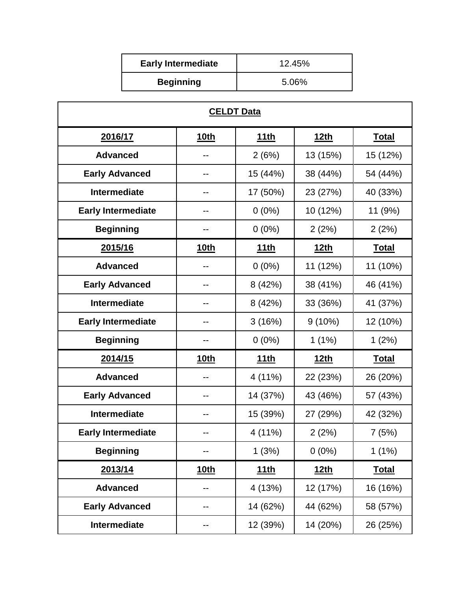| <b>Early Intermediate</b> | 12.45% |
|---------------------------|--------|
| <b>Beginning</b>          | 5.06%  |

| <b>CELDT Data</b>         |             |             |             |              |  |  |
|---------------------------|-------------|-------------|-------------|--------------|--|--|
| 2016/17                   | <u>10th</u> | <u>11th</u> | <u>12th</u> | <u>Total</u> |  |  |
| <b>Advanced</b>           |             | 2(6%)       | 13 (15%)    | 15 (12%)     |  |  |
| <b>Early Advanced</b>     | --          | 15 (44%)    | 38 (44%)    | 54 (44%)     |  |  |
| <b>Intermediate</b>       | --          | 17 (50%)    | 23 (27%)    | 40 (33%)     |  |  |
| <b>Early Intermediate</b> |             | $0(0\%)$    | 10 (12%)    | 11 (9%)      |  |  |
| <b>Beginning</b>          |             | $0(0\%)$    | 2(2%)       | 2(2%)        |  |  |
| 2015/16                   | <u>10th</u> | <u>11th</u> | <u>12th</u> | <b>Total</b> |  |  |
| <b>Advanced</b>           |             | $0(0\%)$    | 11 (12%)    | 11 (10%)     |  |  |
| <b>Early Advanced</b>     |             | 8(42%)      | 38 (41%)    | 46 (41%)     |  |  |
| <b>Intermediate</b>       |             | 8(42%)      | 33 (36%)    | 41 (37%)     |  |  |
| <b>Early Intermediate</b> |             | 3(16%)      | $9(10\%)$   | 12 (10%)     |  |  |
| <b>Beginning</b>          |             | $0(0\%)$    | 1(1%)       | 1(2%)        |  |  |
| 2014/15                   | <u>10th</u> | <u>11th</u> | <u>12th</u> | <b>Total</b> |  |  |
| <b>Advanced</b>           |             | 4 (11%)     | 22 (23%)    | 26 (20%)     |  |  |
| <b>Early Advanced</b>     |             | 14 (37%)    | 43 (46%)    | 57 (43%)     |  |  |
| <b>Intermediate</b>       | --          | 15 (39%)    | 27 (29%)    | 42 (32%)     |  |  |
| <b>Early Intermediate</b> |             | 4 (11%)     | 2(2%)       | 7(5%)        |  |  |
| <b>Beginning</b>          |             | 1(3%)       | $0(0\%)$    | 1(1%)        |  |  |
| 2013/14                   | <u>10th</u> | <u>11th</u> | <u>12th</u> | <u>Total</u> |  |  |
| <b>Advanced</b>           | --          | 4 (13%)     | 12 (17%)    | 16 (16%)     |  |  |
| <b>Early Advanced</b>     |             | 14 (62%)    | 44 (62%)    | 58 (57%)     |  |  |
| Intermediate              |             | 12 (39%)    | 14 (20%)    | 26 (25%)     |  |  |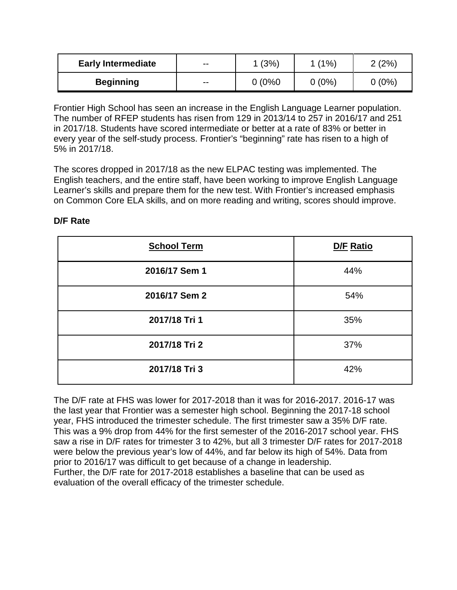| <b>Early Intermediate</b> | $- -$ | 1(3%)  | (1%)     | (2%)    |
|---------------------------|-------|--------|----------|---------|
| <b>Beginning</b>          | $- -$ | 0(0%0) | $0(0\%)$ | $(0\%)$ |

Frontier High School has seen an increase in the English Language Learner population. The number of RFEP students has risen from 129 in 2013/14 to 257 in 2016/17 and 251 in 2017/18. Students have scored intermediate or better at a rate of 83% or better in every year of the self-study process. Frontier's "beginning" rate has risen to a high of 5% in 2017/18.

The scores dropped in 2017/18 as the new ELPAC testing was implemented. The English teachers, and the entire staff, have been working to improve English Language Learner's skills and prepare them for the new test. With Frontier's increased emphasis on Common Core ELA skills, and on more reading and writing, scores should improve.

| <b>School Term</b> | D/F Ratio |  |
|--------------------|-----------|--|
| 2016/17 Sem 1      | 44%       |  |
| 2016/17 Sem 2      | 54%       |  |
| 2017/18 Tri 1      | 35%       |  |
| 2017/18 Tri 2      | 37%       |  |
| 2017/18 Tri 3      | 42%       |  |

### **D/F Rate**

The D/F rate at FHS was lower for 2017-2018 than it was for 2016-2017. 2016-17 was the last year that Frontier was a semester high school. Beginning the 2017-18 school year, FHS introduced the trimester schedule. The first trimester saw a 35% D/F rate. This was a 9% drop from 44% for the first semester of the 2016-2017 school year. FHS saw a rise in D/F rates for trimester 3 to 42%, but all 3 trimester D/F rates for 2017-2018 were below the previous year's low of 44%, and far below its high of 54%. Data from prior to 2016/17 was difficult to get because of a change in leadership. Further, the D/F rate for 2017-2018 establishes a baseline that can be used as evaluation of the overall efficacy of the trimester schedule.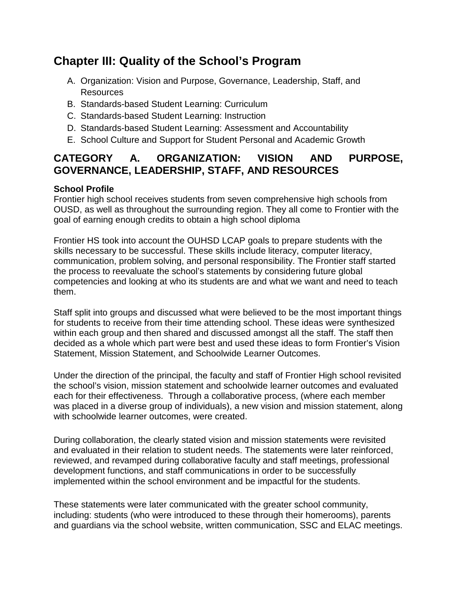# **Chapter III: Quality of the School's Program**

- A. Organization: Vision and Purpose, Governance, Leadership, Staff, and Resources
- B. Standards-based Student Learning: Curriculum
- C. Standards-based Student Learning: Instruction
- D. Standards-based Student Learning: Assessment and Accountability
- E. School Culture and Support for Student Personal and Academic Growth

### **CATEGORY A. ORGANIZATION: VISION AND PURPOSE, GOVERNANCE, LEADERSHIP, STAFF, AND RESOURCES**

### **School Profile**

Frontier high school receives students from seven comprehensive high schools from OUSD, as well as throughout the surrounding region. They all come to Frontier with the goal of earning enough credits to obtain a high school diploma

Frontier HS took into account the OUHSD LCAP goals to prepare students with the skills necessary to be successful. These skills include literacy, computer literacy, communication, problem solving, and personal responsibility. The Frontier staff started the process to reevaluate the school's statements by considering future global competencies and looking at who its students are and what we want and need to teach them.

Staff split into groups and discussed what were believed to be the most important things for students to receive from their time attending school. These ideas were synthesized within each group and then shared and discussed amongst all the staff. The staff then decided as a whole which part were best and used these ideas to form Frontier's Vision Statement, Mission Statement, and Schoolwide Learner Outcomes.

Under the direction of the principal, the faculty and staff of Frontier High school revisited the school's vision, mission statement and schoolwide learner outcomes and evaluated each for their effectiveness. Through a collaborative process, (where each member was placed in a diverse group of individuals), a new vision and mission statement, along with schoolwide learner outcomes, were created.

During collaboration, the clearly stated vision and mission statements were revisited and evaluated in their relation to student needs. The statements were later reinforced, reviewed, and revamped during collaborative faculty and staff meetings, professional development functions, and staff communications in order to be successfully implemented within the school environment and be impactful for the students.

These statements were later communicated with the greater school community, including: students (who were introduced to these through their homerooms), parents and guardians via the school website, written communication, SSC and ELAC meetings.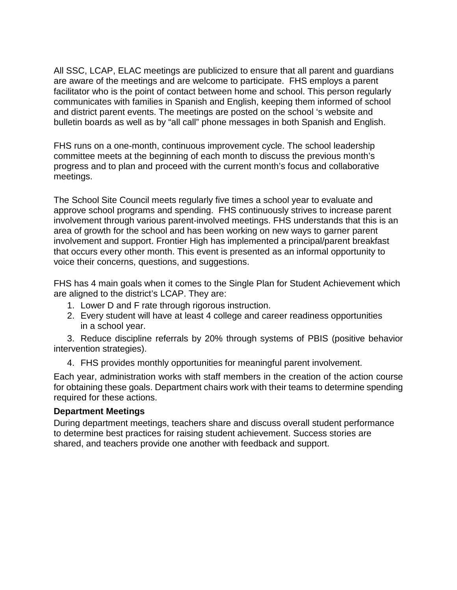All SSC, LCAP, ELAC meetings are publicized to ensure that all parent and guardians are aware of the meetings and are welcome to participate. FHS employs a parent facilitator who is the point of contact between home and school. This person regularly communicates with families in Spanish and English, keeping them informed of school and district parent events. The meetings are posted on the school 's website and bulletin boards as well as by "all call" phone messages in both Spanish and English.

FHS runs on a one-month, continuous improvement cycle. The school leadership committee meets at the beginning of each month to discuss the previous month's progress and to plan and proceed with the current month's focus and collaborative meetings.

The School Site Council meets regularly five times a school year to evaluate and approve school programs and spending. FHS continuously strives to increase parent involvement through various parent-involved meetings. FHS understands that this is an area of growth for the school and has been working on new ways to garner parent involvement and support. Frontier High has implemented a principal/parent breakfast that occurs every other month. This event is presented as an informal opportunity to voice their concerns, questions, and suggestions.

FHS has 4 main goals when it comes to the Single Plan for Student Achievement which are aligned to the district's LCAP. They are:

- 1. Lower D and F rate through rigorous instruction.
- 2. Every student will have at least 4 college and career readiness opportunities in a school year.

3. Reduce discipline referrals by 20% through systems of PBIS (positive behavior intervention strategies).

4. FHS provides monthly opportunities for meaningful parent involvement.

Each year, administration works with staff members in the creation of the action course for obtaining these goals. Department chairs work with their teams to determine spending required for these actions.

#### **Department Meetings**

During department meetings, teachers share and discuss overall student performance to determine best practices for raising student achievement. Success stories are shared, and teachers provide one another with feedback and support.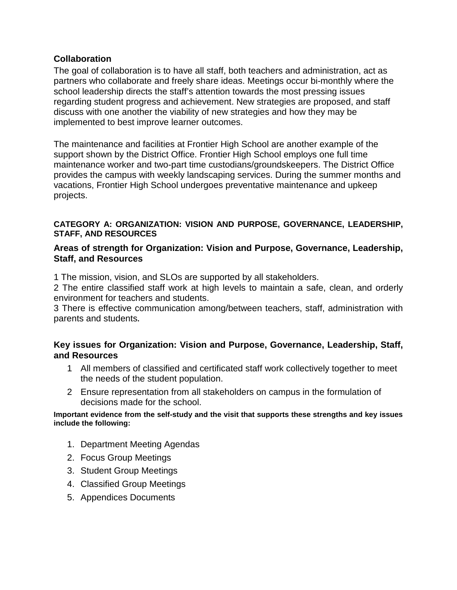### **Collaboration**

The goal of collaboration is to have all staff, both teachers and administration, act as partners who collaborate and freely share ideas. Meetings occur bi-monthly where the school leadership directs the staff's attention towards the most pressing issues regarding student progress and achievement. New strategies are proposed, and staff discuss with one another the viability of new strategies and how they may be implemented to best improve learner outcomes.

The maintenance and facilities at Frontier High School are another example of the support shown by the District Office. Frontier High School employs one full time maintenance worker and two-part time custodians/groundskeepers. The District Office provides the campus with weekly landscaping services. During the summer months and vacations, Frontier High School undergoes preventative maintenance and upkeep projects.

#### **CATEGORY A: ORGANIZATION: VISION AND PURPOSE, GOVERNANCE, LEADERSHIP, STAFF, AND RESOURCES**

#### **Areas of strength for Organization: Vision and Purpose, Governance, Leadership, Staff, and Resources**

1 The mission, vision, and SLOs are supported by all stakeholders.

2 The entire classified staff work at high levels to maintain a safe, clean, and orderly environment for teachers and students.

3 There is effective communication among/between teachers, staff, administration with parents and students**.**

#### **Key issues for Organization: Vision and Purpose, Governance, Leadership, Staff, and Resources**

- 1 All members of classified and certificated staff work collectively together to meet the needs of the student population.
- 2 Ensure representation from all stakeholders on campus in the formulation of decisions made for the school.

**Important evidence from the self-study and the visit that supports these strengths and key issues include the following:**

- 1. Department Meeting Agendas
- 2. Focus Group Meetings
- 3. Student Group Meetings
- 4. Classified Group Meetings
- 5. Appendices Documents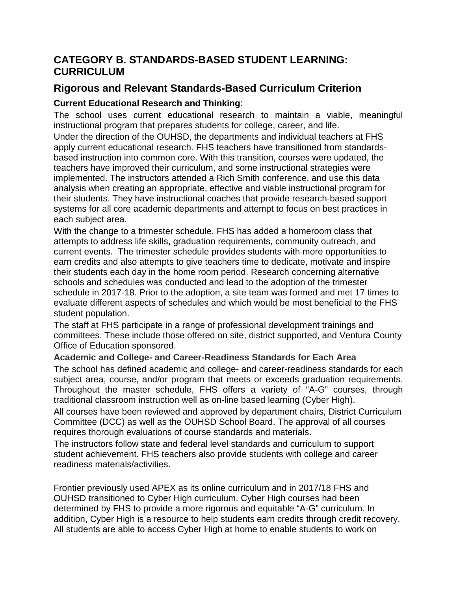### **CATEGORY B. STANDARDS-BASED STUDENT LEARNING: CURRICULUM**

### **Rigorous and Relevant Standards-Based Curriculum Criterion**

### **Current Educational Research and Thinking**:

The school uses current educational research to maintain a viable, meaningful instructional program that prepares students for college, career, and life.

Under the direction of the OUHSD, the departments and individual teachers at FHS apply current educational research. FHS teachers have transitioned from standardsbased instruction into common core. With this transition, courses were updated, the teachers have improved their curriculum, and some instructional strategies were implemented. The instructors attended a Rich Smith conference, and use this data analysis when creating an appropriate, effective and viable instructional program for their students. They have instructional coaches that provide research-based support systems for all core academic departments and attempt to focus on best practices in each subject area.

With the change to a trimester schedule, FHS has added a homeroom class that attempts to address life skills, graduation requirements, community outreach, and current events. The trimester schedule provides students with more opportunities to earn credits and also attempts to give teachers time to dedicate, motivate and inspire their students each day in the home room period. Research concerning alternative schools and schedules was conducted and lead to the adoption of the trimester schedule in 2017-18. Prior to the adoption, a site team was formed and met 17 times to evaluate different aspects of schedules and which would be most beneficial to the FHS student population.

The staff at FHS participate in a range of professional development trainings and committees. These include those offered on site, district supported, and Ventura County Office of Education sponsored.

**Academic and College- and Career-Readiness Standards for Each Area**

The school has defined academic and college- and career-readiness standards for each subject area, course, and/or program that meets or exceeds graduation requirements. Throughout the master schedule, FHS offers a variety of "A-G" courses, through traditional classroom instruction well as on-line based learning (Cyber High).

All courses have been reviewed and approved by department chairs, District Curriculum Committee (DCC) as well as the OUHSD School Board. The approval of all courses requires thorough evaluations of course standards and materials.

The instructors follow state and federal level standards and curriculum to support student achievement. FHS teachers also provide students with college and career readiness materials/activities.

Frontier previously used APEX as its online curriculum and in 2017/18 FHS and OUHSD transitioned to Cyber High curriculum. Cyber High courses had been determined by FHS to provide a more rigorous and equitable "A-G" curriculum. In addition, Cyber High is a resource to help students earn credits through credit recovery. All students are able to access Cyber High at home to enable students to work on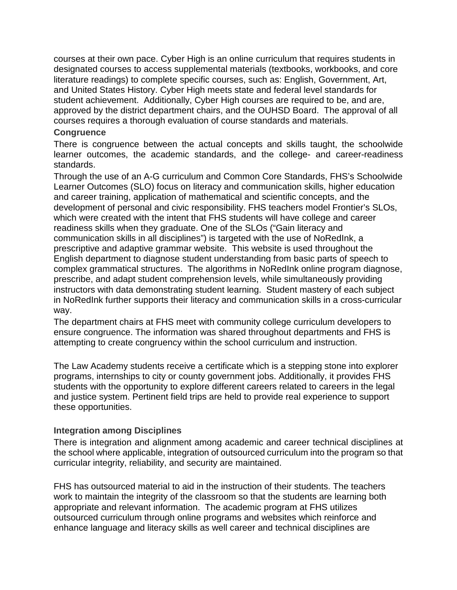courses at their own pace. Cyber High is an online curriculum that requires students in designated courses to access supplemental materials (textbooks, workbooks, and core literature readings) to complete specific courses, such as: English, Government, Art, and United States History. Cyber High meets state and federal level standards for student achievement. Additionally, Cyber High courses are required to be, and are, approved by the district department chairs, and the OUHSD Board. The approval of all courses requires a thorough evaluation of course standards and materials.

#### **Congruence**

There is congruence between the actual concepts and skills taught, the schoolwide learner outcomes, the academic standards, and the college- and career-readiness standards.

Through the use of an A-G curriculum and Common Core Standards, FHS's Schoolwide Learner Outcomes (SLO) focus on literacy and communication skills, higher education and career training, application of mathematical and scientific concepts, and the development of personal and civic responsibility. FHS teachers model Frontier's SLOs, which were created with the intent that FHS students will have college and career readiness skills when they graduate. One of the SLOs ("Gain literacy and communication skills in all disciplines") is targeted with the use of NoRedInk, a prescriptive and adaptive grammar website. This website is used throughout the English department to diagnose student understanding from basic parts of speech to complex grammatical structures. The algorithms in NoRedInk online program diagnose, prescribe, and adapt student comprehension levels, while simultaneously providing instructors with data demonstrating student learning. Student mastery of each subject in NoRedInk further supports their literacy and communication skills in a cross-curricular way.

The department chairs at FHS meet with community college curriculum developers to ensure congruence. The information was shared throughout departments and FHS is attempting to create congruency within the school curriculum and instruction.

The Law Academy students receive a certificate which is a stepping stone into explorer programs, internships to city or county government jobs. Additionally, it provides FHS students with the opportunity to explore different careers related to careers in the legal and justice system. Pertinent field trips are held to provide real experience to support these opportunities.

#### **Integration among Disciplines**

There is integration and alignment among academic and career technical disciplines at the school where applicable, integration of outsourced curriculum into the program so that curricular integrity, reliability, and security are maintained.

FHS has outsourced material to aid in the instruction of their students. The teachers work to maintain the integrity of the classroom so that the students are learning both appropriate and relevant information. The academic program at FHS utilizes outsourced curriculum through online programs and websites which reinforce and enhance language and literacy skills as well career and technical disciplines are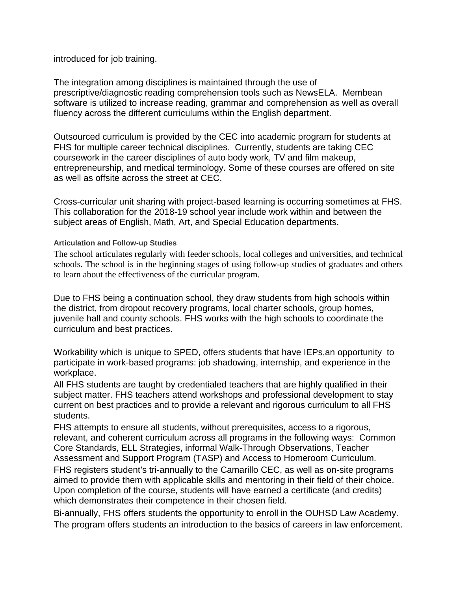introduced for job training.

The integration among disciplines is maintained through the use of prescriptive/diagnostic reading comprehension tools such as NewsELA. Membean software is utilized to increase reading, grammar and comprehension as well as overall fluency across the different curriculums within the English department.

Outsourced curriculum is provided by the CEC into academic program for students at FHS for multiple career technical disciplines. Currently, students are taking CEC coursework in the career disciplines of auto body work, TV and film makeup, entrepreneurship, and medical terminology. Some of these courses are offered on site as well as offsite across the street at CEC.

Cross-curricular unit sharing with project-based learning is occurring sometimes at FHS. This collaboration for the 2018-19 school year include work within and between the subject areas of English, Math, Art, and Special Education departments.

#### **Articulation and Follow-up Studies**

The school articulates regularly with feeder schools, local colleges and universities, and technical schools. The school is in the beginning stages of using follow-up studies of graduates and others to learn about the effectiveness of the curricular program.

Due to FHS being a continuation school, they draw students from high schools within the district, from dropout recovery programs, local charter schools, group homes, juvenile hall and county schools. FHS works with the high schools to coordinate the curriculum and best practices.

Workability which is unique to SPED, offers students that have IEPs,an opportunity to participate in work-based programs: job shadowing, internship, and experience in the workplace.

All FHS students are taught by credentialed teachers that are highly qualified in their subject matter. FHS teachers attend workshops and professional development to stay current on best practices and to provide a relevant and rigorous curriculum to all FHS students.

FHS attempts to ensure all students, without prerequisites, access to a rigorous, relevant, and coherent curriculum across all programs in the following ways: Common Core Standards, ELL Strategies, informal Walk-Through Observations, Teacher Assessment and Support Program (TASP) and Access to Homeroom Curriculum.

FHS registers student's tri-annually to the Camarillo CEC, as well as on-site programs aimed to provide them with applicable skills and mentoring in their field of their choice. Upon completion of the course, students will have earned a certificate (and credits) which demonstrates their competence in their chosen field.

Bi-annually, FHS offers students the opportunity to enroll in the OUHSD Law Academy. The program offers students an introduction to the basics of careers in law enforcement.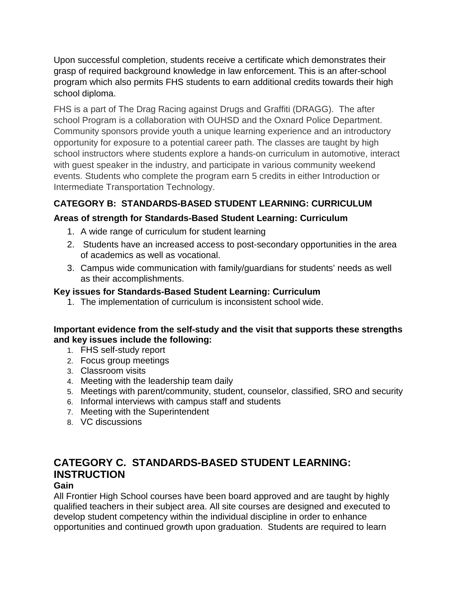Upon successful completion, students receive a certificate which demonstrates their grasp of required background knowledge in law enforcement. This is an after-school program which also permits FHS students to earn additional credits towards their high school diploma.

FHS is a part of The Drag Racing against Drugs and Graffiti (DRAGG). The after school Program is a collaboration with OUHSD and the Oxnard Police Department. Community sponsors provide youth a unique learning experience and an introductory opportunity for exposure to a potential career path. The classes are taught by high school instructors where students explore a hands-on curriculum in automotive, interact with guest speaker in the industry, and participate in various community weekend events. Students who complete the program earn 5 credits in either Introduction or Intermediate Transportation Technology.

### **CATEGORY B: STANDARDS-BASED STUDENT LEARNING: CURRICULUM**

### **Areas of strength for Standards-Based Student Learning: Curriculum**

- 1. A wide range of curriculum for student learning
- 2. Students have an increased access to post-secondary opportunities in the area of academics as well as vocational.
- 3. Campus wide communication with family/guardians for students' needs as well as their accomplishments.

### **Key issues for Standards-Based Student Learning: Curriculum**

1. The implementation of curriculum is inconsistent school wide.

### **Important evidence from the self-study and the visit that supports these strengths and key issues include the following:**

- 1. FHS self-study report
- 2. Focus group meetings
- 3. Classroom visits
- 4. Meeting with the leadership team daily
- 5. Meetings with parent/community, student, counselor, classified, SRO and security
- 6. Informal interviews with campus staff and students
- 7. Meeting with the Superintendent
- 8. VC discussions

### **CATEGORY C. STANDARDS-BASED STUDENT LEARNING: INSTRUCTION**

#### **Gain**

All Frontier High School courses have been board approved and are taught by highly qualified teachers in their subject area. All site courses are designed and executed to develop student competency within the individual discipline in order to enhance opportunities and continued growth upon graduation. Students are required to learn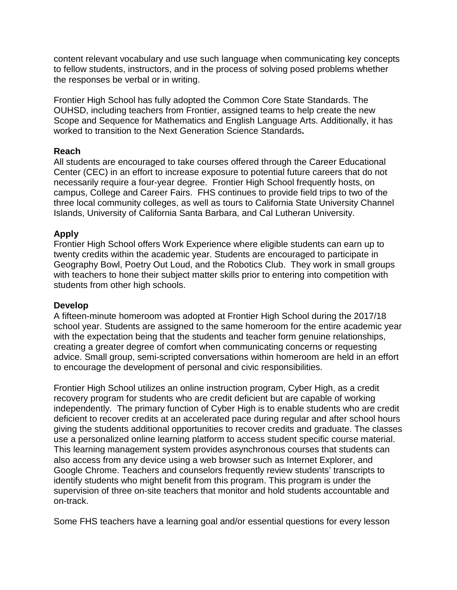content relevant vocabulary and use such language when communicating key concepts to fellow students, instructors, and in the process of solving posed problems whether the responses be verbal or in writing.

Frontier High School has fully adopted the Common Core State Standards. The OUHSD, including teachers from Frontier, assigned teams to help create the new Scope and Sequence for Mathematics and English Language Arts. Additionally, it has worked to transition to the Next Generation Science Standards**.** 

#### **Reach**

All students are encouraged to take courses offered through the Career Educational Center (CEC) in an effort to increase exposure to potential future careers that do not necessarily require a four-year degree. Frontier High School frequently hosts, on campus, College and Career Fairs. FHS continues to provide field trips to two of the three local community colleges, as well as tours to California State University Channel Islands, University of California Santa Barbara, and Cal Lutheran University.

#### **Apply**

Frontier High School offers Work Experience where eligible students can earn up to twenty credits within the academic year. Students are encouraged to participate in Geography Bowl, Poetry Out Loud, and the Robotics Club. They work in small groups with teachers to hone their subject matter skills prior to entering into competition with students from other high schools.

#### **Develop**

A fifteen-minute homeroom was adopted at Frontier High School during the 2017/18 school year. Students are assigned to the same homeroom for the entire academic year with the expectation being that the students and teacher form genuine relationships, creating a greater degree of comfort when communicating concerns or requesting advice. Small group, semi-scripted conversations within homeroom are held in an effort to encourage the development of personal and civic responsibilities.

Frontier High School utilizes an online instruction program, Cyber High, as a credit recovery program for students who are credit deficient but are capable of working independently. The primary function of Cyber High is to enable students who are credit deficient to recover credits at an accelerated pace during regular and after school hours giving the students additional opportunities to recover credits and graduate. The classes use a personalized online learning platform to access student specific course material. This learning management system provides asynchronous courses that students can also access from any device using a web browser such as Internet Explorer, and Google Chrome. Teachers and counselors frequently review students' transcripts to identify students who might benefit from this program. This program is under the supervision of three on-site teachers that monitor and hold students accountable and on-track.

Some FHS teachers have a learning goal and/or essential questions for every lesson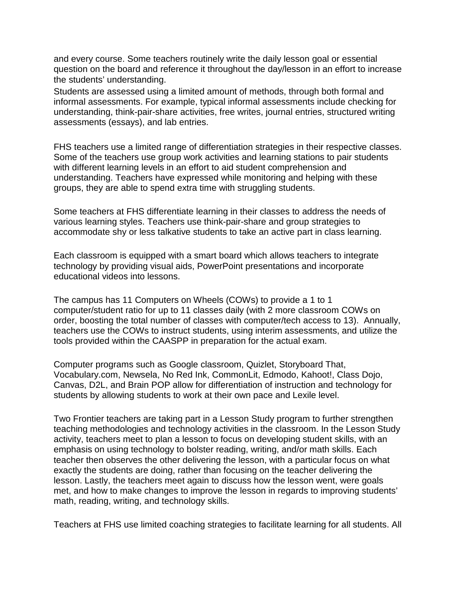and every course. Some teachers routinely write the daily lesson goal or essential question on the board and reference it throughout the day/lesson in an effort to increase the students' understanding.

Students are assessed using a limited amount of methods, through both formal and informal assessments. For example, typical informal assessments include checking for understanding, think-pair-share activities, free writes, journal entries, structured writing assessments (essays), and lab entries.

FHS teachers use a limited range of differentiation strategies in their respective classes. Some of the teachers use group work activities and learning stations to pair students with different learning levels in an effort to aid student comprehension and understanding. Teachers have expressed while monitoring and helping with these groups, they are able to spend extra time with struggling students.

Some teachers at FHS differentiate learning in their classes to address the needs of various learning styles. Teachers use think-pair-share and group strategies to accommodate shy or less talkative students to take an active part in class learning.

Each classroom is equipped with a smart board which allows teachers to integrate technology by providing visual aids, PowerPoint presentations and incorporate educational videos into lessons.

The campus has 11 Computers on Wheels (COWs) to provide a 1 to 1 computer/student ratio for up to 11 classes daily (with 2 more classroom COWs on order, boosting the total number of classes with computer/tech access to 13). Annually, teachers use the COWs to instruct students, using interim assessments, and utilize the tools provided within the CAASPP in preparation for the actual exam.

Computer programs such as Google classroom, Quizlet, Storyboard That, Vocabulary.com, Newsela, No Red Ink, CommonLit, Edmodo, Kahoot!, Class Dojo, Canvas, D2L, and Brain POP allow for differentiation of instruction and technology for students by allowing students to work at their own pace and Lexile level.

Two Frontier teachers are taking part in a Lesson Study program to further strengthen teaching methodologies and technology activities in the classroom. In the Lesson Study activity, teachers meet to plan a lesson to focus on developing student skills, with an emphasis on using technology to bolster reading, writing, and/or math skills. Each teacher then observes the other delivering the lesson, with a particular focus on what exactly the students are doing, rather than focusing on the teacher delivering the lesson. Lastly, the teachers meet again to discuss how the lesson went, were goals met, and how to make changes to improve the lesson in regards to improving students' math, reading, writing, and technology skills.

Teachers at FHS use limited coaching strategies to facilitate learning for all students. All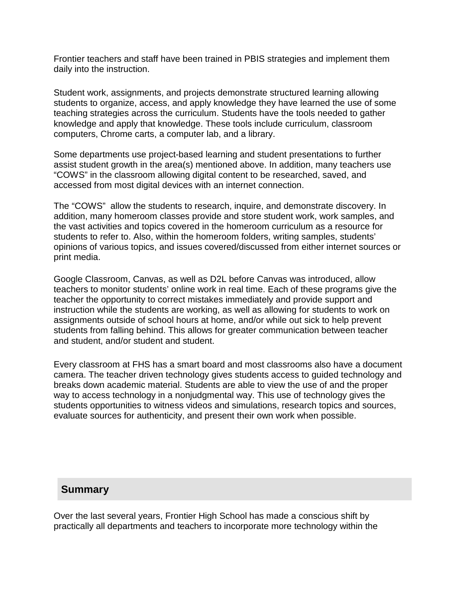Frontier teachers and staff have been trained in PBIS strategies and implement them daily into the instruction.

Student work, assignments, and projects demonstrate structured learning allowing students to organize, access, and apply knowledge they have learned the use of some teaching strategies across the curriculum. Students have the tools needed to gather knowledge and apply that knowledge. These tools include curriculum, classroom computers, Chrome carts, a computer lab, and a library.

Some departments use project-based learning and student presentations to further assist student growth in the area(s) mentioned above. In addition, many teachers use "COWS" in the classroom allowing digital content to be researched, saved, and accessed from most digital devices with an internet connection.

The "COWS" allow the students to research, inquire, and demonstrate discovery. In addition, many homeroom classes provide and store student work, work samples, and the vast activities and topics covered in the homeroom curriculum as a resource for students to refer to. Also, within the homeroom folders, writing samples, students' opinions of various topics, and issues covered/discussed from either internet sources or print media.

Google Classroom, Canvas, as well as D2L before Canvas was introduced, allow teachers to monitor students' online work in real time. Each of these programs give the teacher the opportunity to correct mistakes immediately and provide support and instruction while the students are working, as well as allowing for students to work on assignments outside of school hours at home, and/or while out sick to help prevent students from falling behind. This allows for greater communication between teacher and student, and/or student and student.

Every classroom at FHS has a smart board and most classrooms also have a document camera. The teacher driven technology gives students access to guided technology and breaks down academic material. Students are able to view the use of and the proper way to access technology in a nonjudgmental way. This use of technology gives the students opportunities to witness videos and simulations, research topics and sources, evaluate sources for authenticity, and present their own work when possible.

### **Summary**

Over the last several years, Frontier High School has made a conscious shift by practically all departments and teachers to incorporate more technology within the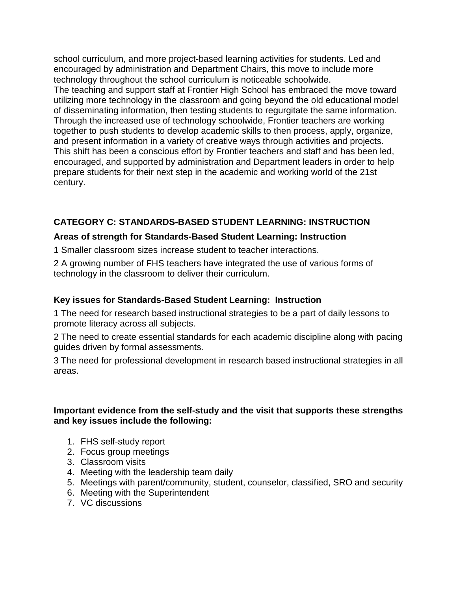school curriculum, and more project-based learning activities for students. Led and encouraged by administration and Department Chairs, this move to include more technology throughout the school curriculum is noticeable schoolwide.

The teaching and support staff at Frontier High School has embraced the move toward utilizing more technology in the classroom and going beyond the old educational model of disseminating information, then testing students to regurgitate the same information. Through the increased use of technology schoolwide, Frontier teachers are working together to push students to develop academic skills to then process, apply, organize, and present information in a variety of creative ways through activities and projects. This shift has been a conscious effort by Frontier teachers and staff and has been led, encouraged, and supported by administration and Department leaders in order to help prepare students for their next step in the academic and working world of the 21st century.

### **CATEGORY C: STANDARDS-BASED STUDENT LEARNING: INSTRUCTION**

### **Areas of strength for Standards-Based Student Learning: Instruction**

1 Smaller classroom sizes increase student to teacher interactions.

2 A growing number of FHS teachers have integrated the use of various forms of technology in the classroom to deliver their curriculum.

### **Key issues for Standards-Based Student Learning: Instruction**

1 The need for research based instructional strategies to be a part of daily lessons to promote literacy across all subjects.

2 The need to create essential standards for each academic discipline along with pacing guides driven by formal assessments.

3 The need for professional development in research based instructional strategies in all areas.

### **Important evidence from the self-study and the visit that supports these strengths and key issues include the following:**

- 1. FHS self-study report
- 2. Focus group meetings
- 3. Classroom visits
- 4. Meeting with the leadership team daily
- 5. Meetings with parent/community, student, counselor, classified, SRO and security
- 6. Meeting with the Superintendent
- 7. VC discussions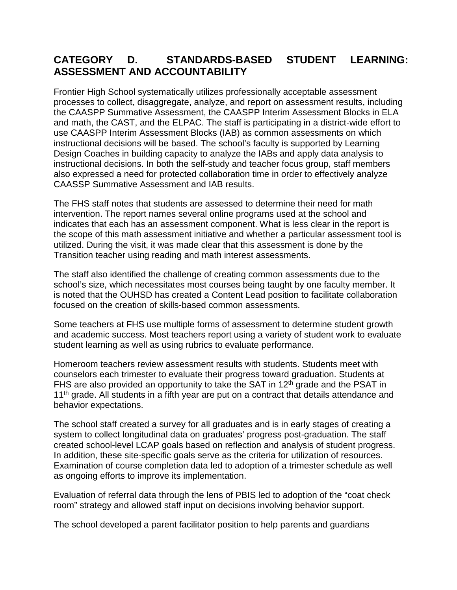### **CATEGORY D. STANDARDS-BASED STUDENT LEARNING: ASSESSMENT AND ACCOUNTABILITY**

Frontier High School systematically utilizes professionally acceptable assessment processes to collect, disaggregate, analyze, and report on assessment results, including the CAASPP Summative Assessment, the CAASPP Interim Assessment Blocks in ELA and math, the CAST, and the ELPAC. The staff is participating in a district-wide effort to use CAASPP Interim Assessment Blocks (IAB) as common assessments on which instructional decisions will be based. The school's faculty is supported by Learning Design Coaches in building capacity to analyze the IABs and apply data analysis to instructional decisions. In both the self-study and teacher focus group, staff members also expressed a need for protected collaboration time in order to effectively analyze CAASSP Summative Assessment and IAB results.

The FHS staff notes that students are assessed to determine their need for math intervention. The report names several online programs used at the school and indicates that each has an assessment component. What is less clear in the report is the scope of this math assessment initiative and whether a particular assessment tool is utilized. During the visit, it was made clear that this assessment is done by the Transition teacher using reading and math interest assessments.

The staff also identified the challenge of creating common assessments due to the school's size, which necessitates most courses being taught by one faculty member. It is noted that the OUHSD has created a Content Lead position to facilitate collaboration focused on the creation of skills-based common assessments.

Some teachers at FHS use multiple forms of assessment to determine student growth and academic success. Most teachers report using a variety of student work to evaluate student learning as well as using rubrics to evaluate performance.

Homeroom teachers review assessment results with students. Students meet with counselors each trimester to evaluate their progress toward graduation. Students at FHS are also provided an opportunity to take the SAT in 12<sup>th</sup> grade and the PSAT in  $11<sup>th</sup>$  grade. All students in a fifth year are put on a contract that details attendance and behavior expectations.

The school staff created a survey for all graduates and is in early stages of creating a system to collect longitudinal data on graduates' progress post-graduation. The staff created school-level LCAP goals based on reflection and analysis of student progress. In addition, these site-specific goals serve as the criteria for utilization of resources. Examination of course completion data led to adoption of a trimester schedule as well as ongoing efforts to improve its implementation.

Evaluation of referral data through the lens of PBIS led to adoption of the "coat check room" strategy and allowed staff input on decisions involving behavior support.

The school developed a parent facilitator position to help parents and guardians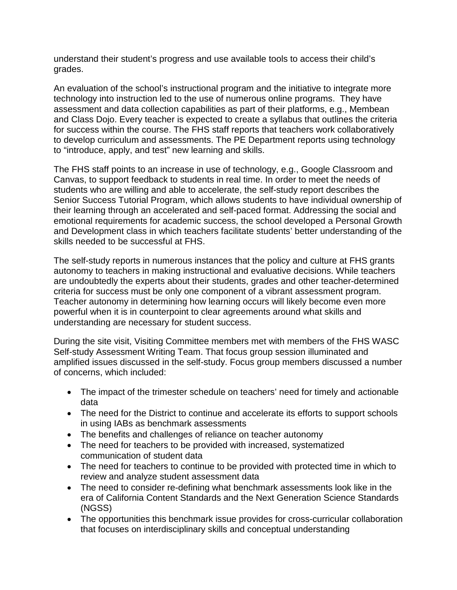understand their student's progress and use available tools to access their child's grades.

An evaluation of the school's instructional program and the initiative to integrate more technology into instruction led to the use of numerous online programs. They have assessment and data collection capabilities as part of their platforms, e.g., Membean and Class Dojo. Every teacher is expected to create a syllabus that outlines the criteria for success within the course. The FHS staff reports that teachers work collaboratively to develop curriculum and assessments. The PE Department reports using technology to "introduce, apply, and test" new learning and skills.

The FHS staff points to an increase in use of technology, e.g., Google Classroom and Canvas, to support feedback to students in real time. In order to meet the needs of students who are willing and able to accelerate, the self-study report describes the Senior Success Tutorial Program, which allows students to have individual ownership of their learning through an accelerated and self-paced format. Addressing the social and emotional requirements for academic success, the school developed a Personal Growth and Development class in which teachers facilitate students' better understanding of the skills needed to be successful at FHS.

The self-study reports in numerous instances that the policy and culture at FHS grants autonomy to teachers in making instructional and evaluative decisions. While teachers are undoubtedly the experts about their students, grades and other teacher-determined criteria for success must be only one component of a vibrant assessment program. Teacher autonomy in determining how learning occurs will likely become even more powerful when it is in counterpoint to clear agreements around what skills and understanding are necessary for student success.

During the site visit, Visiting Committee members met with members of the FHS WASC Self-study Assessment Writing Team. That focus group session illuminated and amplified issues discussed in the self-study. Focus group members discussed a number of concerns, which included:

- The impact of the trimester schedule on teachers' need for timely and actionable data
- The need for the District to continue and accelerate its efforts to support schools in using IABs as benchmark assessments
- The benefits and challenges of reliance on teacher autonomy
- The need for teachers to be provided with increased, systematized communication of student data
- The need for teachers to continue to be provided with protected time in which to review and analyze student assessment data
- The need to consider re-defining what benchmark assessments look like in the era of California Content Standards and the Next Generation Science Standards (NGSS)
- The opportunities this benchmark issue provides for cross-curricular collaboration that focuses on interdisciplinary skills and conceptual understanding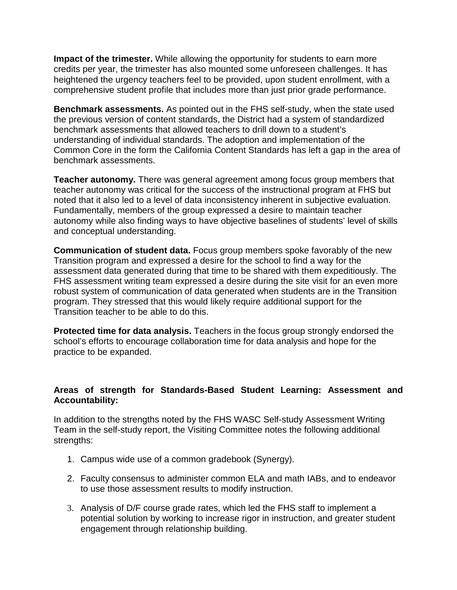**Impact of the trimester.** While allowing the opportunity for students to earn more credits per year, the trimester has also mounted some unforeseen challenges. It has heightened the urgency teachers feel to be provided, upon student enrollment, with a comprehensive student profile that includes more than just prior grade performance.

**Benchmark assessments.** As pointed out in the FHS self-study, when the state used the previous version of content standards, the District had a system of standardized benchmark assessments that allowed teachers to drill down to a student's understanding of individual standards. The adoption and implementation of the Common Core in the form the California Content Standards has left a gap in the area of benchmark assessments.

**Teacher autonomy.** There was general agreement among focus group members that teacher autonomy was critical for the success of the instructional program at FHS but noted that it also led to a level of data inconsistency inherent in subjective evaluation. Fundamentally, members of the group expressed a desire to maintain teacher autonomy while also finding ways to have objective baselines of students' level of skills and conceptual understanding.

**Communication of student data.** Focus group members spoke favorably of the new Transition program and expressed a desire for the school to find a way for the assessment data generated during that time to be shared with them expeditiously. The FHS assessment writing team expressed a desire during the site visit for an even more robust system of communication of data generated when students are in the Transition program. They stressed that this would likely require additional support for the Transition teacher to be able to do this.

**Protected time for data analysis.** Teachers in the focus group strongly endorsed the school's efforts to encourage collaboration time for data analysis and hope for the practice to be expanded.

#### **Areas of strength for Standards-Based Student Learning: Assessment and Accountability:**

In addition to the strengths noted by the FHS WASC Self-study Assessment Writing Team in the self-study report, the Visiting Committee notes the following additional strengths:

- 1. Campus wide use of a common gradebook (Synergy).
- 2. Faculty consensus to administer common ELA and math IABs, and to endeavor to use those assessment results to modify instruction.
- 3. Analysis of D/F course grade rates, which led the FHS staff to implement a potential solution by working to increase rigor in instruction, and greater student engagement through relationship building.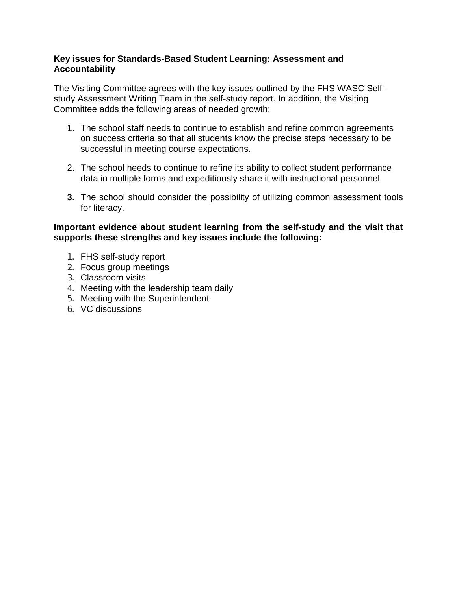### **Key issues for Standards-Based Student Learning: Assessment and Accountability**

The Visiting Committee agrees with the key issues outlined by the FHS WASC Selfstudy Assessment Writing Team in the self-study report. In addition, the Visiting Committee adds the following areas of needed growth:

- 1. The school staff needs to continue to establish and refine common agreements on success criteria so that all students know the precise steps necessary to be successful in meeting course expectations.
- 2. The school needs to continue to refine its ability to collect student performance data in multiple forms and expeditiously share it with instructional personnel.
- **3.** The school should consider the possibility of utilizing common assessment tools for literacy.

#### **Important evidence about student learning from the self-study and the visit that supports these strengths and key issues include the following:**

- 1. FHS self-study report
- 2. Focus group meetings
- 3. Classroom visits
- 4. Meeting with the leadership team daily
- 5. Meeting with the Superintendent
- 6. VC discussions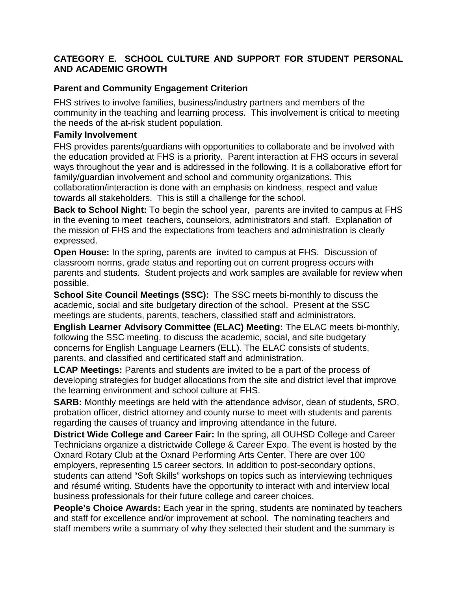### **CATEGORY E. SCHOOL CULTURE AND SUPPORT FOR STUDENT PERSONAL AND ACADEMIC GROWTH**

### **Parent and Community Engagement Criterion**

FHS strives to involve families, business/industry partners and members of the community in the teaching and learning process. This involvement is critical to meeting the needs of the at-risk student population.

### **Family Involvement**

FHS provides parents/guardians with opportunities to collaborate and be involved with the education provided at FHS is a priority. Parent interaction at FHS occurs in several ways throughout the year and is addressed in the following. It is a collaborative effort for family/guardian involvement and school and community organizations. This collaboration/interaction is done with an emphasis on kindness, respect and value towards all stakeholders. This is still a challenge for the school.

**Back to School Night:** To begin the school year, parents are invited to campus at FHS in the evening to meet teachers, counselors, administrators and staff. Explanation of the mission of FHS and the expectations from teachers and administration is clearly expressed.

**Open House:** In the spring, parents are invited to campus at FHS. Discussion of classroom norms, grade status and reporting out on current progress occurs with parents and students. Student projects and work samples are available for review when possible.

**School Site Council Meetings (SSC):** The SSC meets bi-monthly to discuss the academic, social and site budgetary direction of the school. Present at the SSC meetings are students, parents, teachers, classified staff and administrators.

**English Learner Advisory Committee (ELAC) Meeting:** The ELAC meets bi-monthly, following the SSC meeting, to discuss the academic, social, and site budgetary concerns for English Language Learners (ELL). The ELAC consists of students, parents, and classified and certificated staff and administration.

**LCAP Meetings:** Parents and students are invited to be a part of the process of developing strategies for budget allocations from the site and district level that improve the learning environment and school culture at FHS.

**SARB:** Monthly meetings are held with the attendance advisor, dean of students, SRO, probation officer, district attorney and county nurse to meet with students and parents regarding the causes of truancy and improving attendance in the future.

**District Wide College and Career Fair:** In the spring, all OUHSD College and Career Technicians organize a districtwide College & Career Expo. The event is hosted by the Oxnard Rotary Club at the Oxnard Performing Arts Center. There are over 100 employers, representing 15 career sectors. In addition to post-secondary options, students can attend "Soft Skills" workshops on topics such as interviewing techniques and résumé writing. Students have the opportunity to interact with and interview local business professionals for their future college and career choices.

**People's Choice Awards:** Each year in the spring, students are nominated by teachers and staff for excellence and/or improvement at school. The nominating teachers and staff members write a summary of why they selected their student and the summary is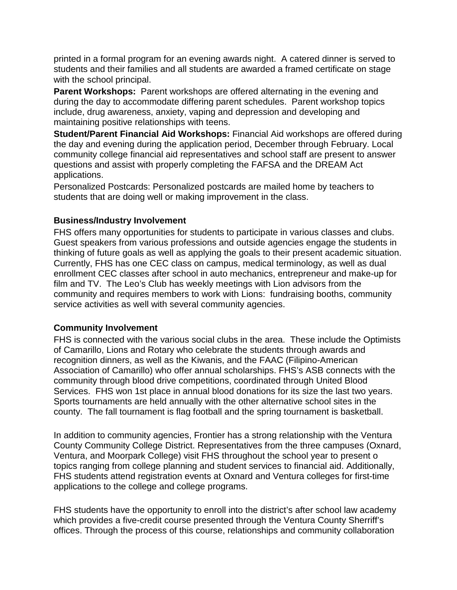printed in a formal program for an evening awards night. A catered dinner is served to students and their families and all students are awarded a framed certificate on stage with the school principal.

**Parent Workshops:** Parent workshops are offered alternating in the evening and during the day to accommodate differing parent schedules. Parent workshop topics include, drug awareness, anxiety, vaping and depression and developing and maintaining positive relationships with teens.

**Student/Parent Financial Aid Workshops:** Financial Aid workshops are offered during the day and evening during the application period, December through February. Local community college financial aid representatives and school staff are present to answer questions and assist with properly completing the FAFSA and the DREAM Act applications.

Personalized Postcards: Personalized postcards are mailed home by teachers to students that are doing well or making improvement in the class.

#### **Business/Industry Involvement**

FHS offers many opportunities for students to participate in various classes and clubs. Guest speakers from various professions and outside agencies engage the students in thinking of future goals as well as applying the goals to their present academic situation. Currently, FHS has one CEC class on campus, medical terminology, as well as dual enrollment CEC classes after school in auto mechanics, entrepreneur and make-up for film and TV. The Leo's Club has weekly meetings with Lion advisors from the community and requires members to work with Lions: fundraising booths, community service activities as well with several community agencies.

#### **Community Involvement**

FHS is connected with the various social clubs in the area. These include the Optimists of Camarillo, Lions and Rotary who celebrate the students through awards and recognition dinners, as well as the Kiwanis, and the FAAC (Filipino-American Association of Camarillo) who offer annual scholarships. FHS's ASB connects with the community through blood drive competitions, coordinated through United Blood Services. FHS won 1st place in annual blood donations for its size the last two years. Sports tournaments are held annually with the other alternative school sites in the county. The fall tournament is flag football and the spring tournament is basketball.

In addition to community agencies, Frontier has a strong relationship with the Ventura County Community College District. Representatives from the three campuses (Oxnard, Ventura, and Moorpark College) visit FHS throughout the school year to present o topics ranging from college planning and student services to financial aid. Additionally, FHS students attend registration events at Oxnard and Ventura colleges for first-time applications to the college and college programs.

FHS students have the opportunity to enroll into the district's after school law academy which provides a five-credit course presented through the Ventura County Sherriff's offices. Through the process of this course, relationships and community collaboration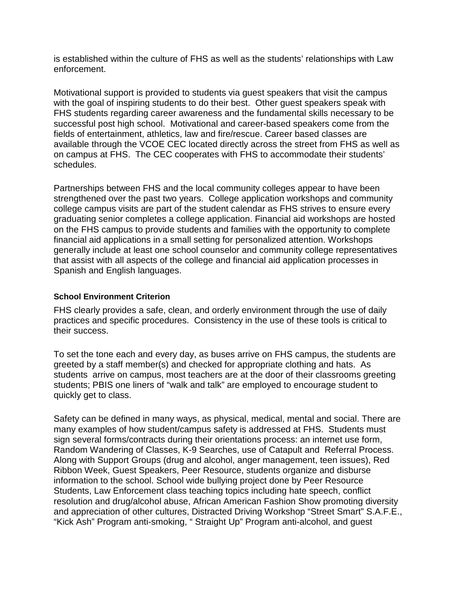is established within the culture of FHS as well as the students' relationships with Law enforcement.

Motivational support is provided to students via guest speakers that visit the campus with the goal of inspiring students to do their best. Other guest speakers speak with FHS students regarding career awareness and the fundamental skills necessary to be successful post high school. Motivational and career-based speakers come from the fields of entertainment, athletics, law and fire/rescue. Career based classes are available through the VCOE CEC located directly across the street from FHS as well as on campus at FHS. The CEC cooperates with FHS to accommodate their students' schedules.

Partnerships between FHS and the local community colleges appear to have been strengthened over the past two years. College application workshops and community college campus visits are part of the student calendar as FHS strives to ensure every graduating senior completes a college application. Financial aid workshops are hosted on the FHS campus to provide students and families with the opportunity to complete financial aid applications in a small setting for personalized attention. Workshops generally include at least one school counselor and community college representatives that assist with all aspects of the college and financial aid application processes in Spanish and English languages.

#### **School Environment Criterion**

FHS clearly provides a safe, clean, and orderly environment through the use of daily practices and specific procedures. Consistency in the use of these tools is critical to their success.

To set the tone each and every day, as buses arrive on FHS campus, the students are greeted by a staff member(s) and checked for appropriate clothing and hats. As students arrive on campus, most teachers are at the door of their classrooms greeting students; PBIS one liners of "walk and talk" are employed to encourage student to quickly get to class.

Safety can be defined in many ways, as physical, medical, mental and social. There are many examples of how student/campus safety is addressed at FHS. Students must sign several forms/contracts during their orientations process: an internet use form, Random Wandering of Classes, K-9 Searches, use of Catapult and Referral Process. Along with Support Groups (drug and alcohol, anger management, teen issues), Red Ribbon Week, Guest Speakers, Peer Resource, students organize and disburse information to the school. School wide bullying project done by Peer Resource Students, Law Enforcement class teaching topics including hate speech, conflict resolution and drug/alcohol abuse, African American Fashion Show promoting diversity and appreciation of other cultures, Distracted Driving Workshop "Street Smart" S.A.F.E., "Kick Ash" Program anti-smoking, " Straight Up" Program anti-alcohol, and guest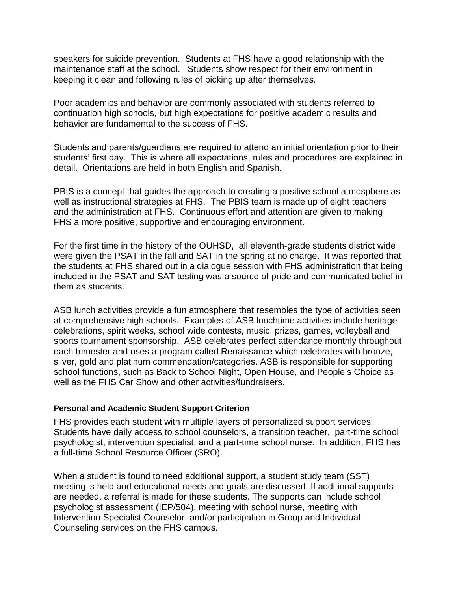speakers for suicide prevention. Students at FHS have a good relationship with the maintenance staff at the school. Students show respect for their environment in keeping it clean and following rules of picking up after themselves.

Poor academics and behavior are commonly associated with students referred to continuation high schools, but high expectations for positive academic results and behavior are fundamental to the success of FHS.

Students and parents/guardians are required to attend an initial orientation prior to their students' first day. This is where all expectations, rules and procedures are explained in detail. Orientations are held in both English and Spanish.

PBIS is a concept that guides the approach to creating a positive school atmosphere as well as instructional strategies at FHS. The PBIS team is made up of eight teachers and the administration at FHS. Continuous effort and attention are given to making FHS a more positive, supportive and encouraging environment.

For the first time in the history of the OUHSD, all eleventh-grade students district wide were given the PSAT in the fall and SAT in the spring at no charge. It was reported that the students at FHS shared out in a dialogue session with FHS administration that being included in the PSAT and SAT testing was a source of pride and communicated belief in them as students.

ASB lunch activities provide a fun atmosphere that resembles the type of activities seen at comprehensive high schools. Examples of ASB lunchtime activities include heritage celebrations, spirit weeks, school wide contests, music, prizes, games, volleyball and sports tournament sponsorship. ASB celebrates perfect attendance monthly throughout each trimester and uses a program called Renaissance which celebrates with bronze, silver, gold and platinum commendation/categories. ASB is responsible for supporting school functions, such as Back to School Night, Open House, and People's Choice as well as the FHS Car Show and other activities/fundraisers.

#### **Personal and Academic Student Support Criterion**

FHS provides each student with multiple layers of personalized support services. Students have daily access to school counselors, a transition teacher, part-time school psychologist, intervention specialist, and a part-time school nurse. In addition, FHS has a full-time School Resource Officer (SRO).

When a student is found to need additional support, a student study team (SST) meeting is held and educational needs and goals are discussed. If additional supports are needed, a referral is made for these students. The supports can include school psychologist assessment (IEP/504), meeting with school nurse, meeting with Intervention Specialist Counselor, and/or participation in Group and Individual Counseling services on the FHS campus.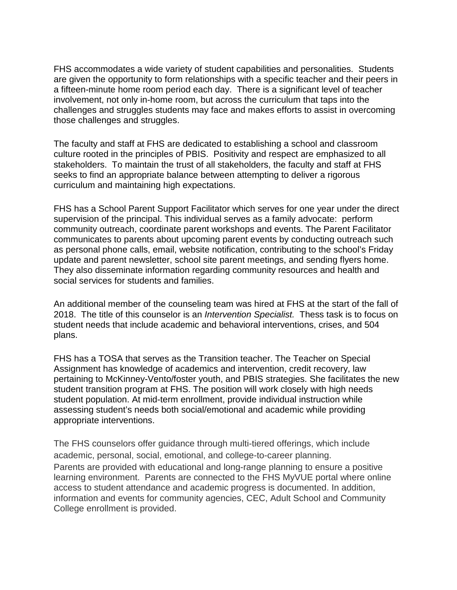FHS accommodates a wide variety of student capabilities and personalities. Students are given the opportunity to form relationships with a specific teacher and their peers in a fifteen-minute home room period each day. There is a significant level of teacher involvement, not only in-home room, but across the curriculum that taps into the challenges and struggles students may face and makes efforts to assist in overcoming those challenges and struggles.

The faculty and staff at FHS are dedicated to establishing a school and classroom culture rooted in the principles of PBIS. Positivity and respect are emphasized to all stakeholders. To maintain the trust of all stakeholders, the faculty and staff at FHS seeks to find an appropriate balance between attempting to deliver a rigorous curriculum and maintaining high expectations.

FHS has a School Parent Support Facilitator which serves for one year under the direct supervision of the principal. This individual serves as a family advocate: perform community outreach, coordinate parent workshops and events. The Parent Facilitator communicates to parents about upcoming parent events by conducting outreach such as personal phone calls, email, website notification, contributing to the school's Friday update and parent newsletter, school site parent meetings, and sending flyers home. They also disseminate information regarding community resources and health and social services for students and families.

An additional member of the counseling team was hired at FHS at the start of the fall of 2018. The title of this counselor is an *Intervention Specialist.* Thess task is to focus on student needs that include academic and behavioral interventions, crises, and 504 plans.

FHS has a TOSA that serves as the Transition teacher. The Teacher on Special Assignment has knowledge of academics and intervention, credit recovery, law pertaining to McKinney-Vento/foster youth, and PBIS strategies. She facilitates the new student transition program at FHS. The position will work closely with high needs student population. At mid-term enrollment, provide individual instruction while assessing student's needs both social/emotional and academic while providing appropriate interventions.

The FHS counselors offer guidance through multi-tiered offerings, which include academic, personal, social, emotional, and college-to-career planning. Parents are provided with educational and long-range planning to ensure a positive learning environment. Parents are connected to the FHS MyVUE portal where online access to student attendance and academic progress is documented. In addition, information and events for community agencies, CEC, Adult School and Community College enrollment is provided.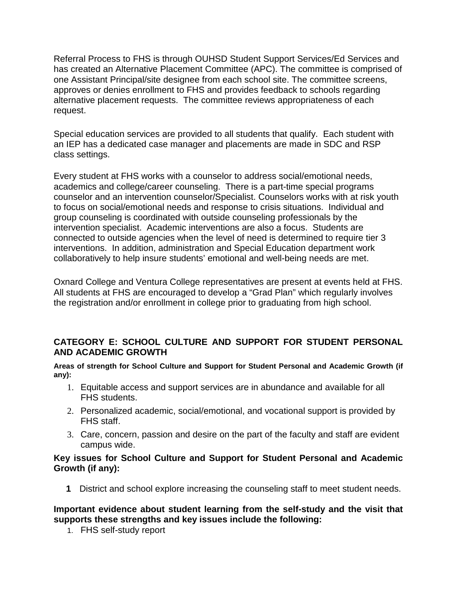Referral Process to FHS is through OUHSD Student Support Services/Ed Services and has created an Alternative Placement Committee (APC). The committee is comprised of one Assistant Principal/site designee from each school site. The committee screens, approves or denies enrollment to FHS and provides feedback to schools regarding alternative placement requests. The committee reviews appropriateness of each request.

Special education services are provided to all students that qualify. Each student with an IEP has a dedicated case manager and placements are made in SDC and RSP class settings.

Every student at FHS works with a counselor to address social/emotional needs, academics and college/career counseling. There is a part-time special programs counselor and an intervention counselor/Specialist. Counselors works with at risk youth to focus on social/emotional needs and response to crisis situations. Individual and group counseling is coordinated with outside counseling professionals by the intervention specialist. Academic interventions are also a focus. Students are connected to outside agencies when the level of need is determined to require tier 3 interventions. In addition, administration and Special Education department work collaboratively to help insure students' emotional and well-being needs are met.

Oxnard College and Ventura College representatives are present at events held at FHS. All students at FHS are encouraged to develop a "Grad Plan" which regularly involves the registration and/or enrollment in college prior to graduating from high school.

### **CATEGORY E: SCHOOL CULTURE AND SUPPORT FOR STUDENT PERSONAL AND ACADEMIC GROWTH**

**Areas of strength for School Culture and Support for Student Personal and Academic Growth (if any):**

- 1. Equitable access and support services are in abundance and available for all FHS students.
- 2. Personalized academic, social/emotional, and vocational support is provided by FHS staff.
- 3. Care, concern, passion and desire on the part of the faculty and staff are evident campus wide.

#### **Key issues for School Culture and Support for Student Personal and Academic Growth (if any):**

**1** District and school explore increasing the counseling staff to meet student needs.

### **Important evidence about student learning from the self-study and the visit that supports these strengths and key issues include the following:**

1. FHS self-study report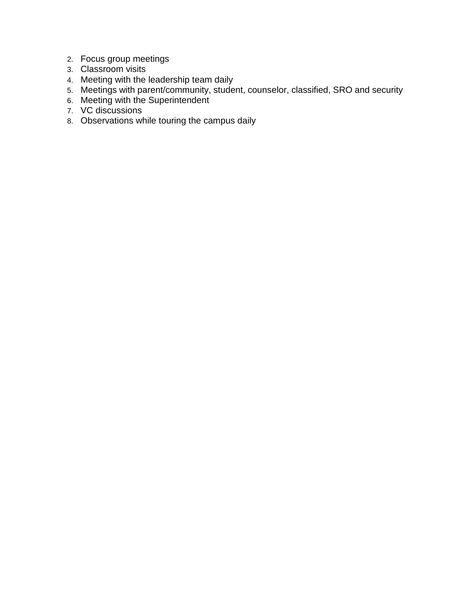- 2. Focus group meetings
- 3. Classroom visits
- 4. Meeting with the leadership team daily
- 5. Meetings with parent/community, student, counselor, classified, SRO and security
- 6. Meeting with the Superintendent
- 7. VC discussions
- 8. Observations while touring the campus daily